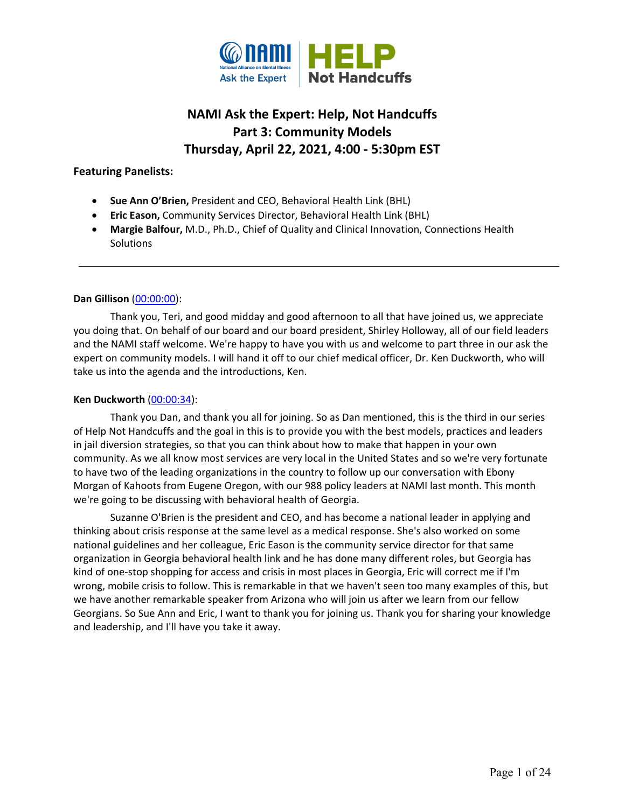

# **NAMI Ask the Expert: Help, Not Handcuffs Part 3: Community Models Thursday, April 22, 2021, 4:00 - 5:30pm EST**

# **Featuring Panelists:**

- **Sue Ann O'Brien,** President and CEO, Behavioral Health Link (BHL)
- **Eric Eason,** Community Services Director, Behavioral Health Link (BHL)
- **Margie Balfour,** M.D., Ph.D., Chief of Quality and Clinical Innovation, Connections Health **Solutions**

# **Dan Gillison** [\(00:00:00\)](https://www.rev.com/transcript-editor/Edit?token=tW6PP6s4kYapDJ_Nd3QaAAG3dGPsha28RFGHq4jKwX0XTW4gXfNmZP1RWIwbsLVFynobZfvDybqawiOZxS-mqwJD_m4&loadFrom=DocumentDeeplink&ts=0.23):

Thank you, Teri, and good midday and good afternoon to all that have joined us, we appreciate you doing that. On behalf of our board and our board president, Shirley Holloway, all of our field leaders and the NAMI staff welcome. We're happy to have you with us and welcome to part three in our ask the expert on community models. I will hand it off to our chief medical officer, Dr. Ken Duckworth, who will take us into the agenda and the introductions, Ken.

### **Ken Duckworth** [\(00:00:34\)](https://www.rev.com/transcript-editor/Edit?token=0Zmp8irwANsbc4nBBXJmHrjhDOpyILLoZ1uRhecPGYyLFB77YOlpkpqN2dGQSIyszltW2gCEuJ4mWcQehxMGJyUPX5o&loadFrom=DocumentDeeplink&ts=34.93):

Thank you Dan, and thank you all for joining. So as Dan mentioned, this is the third in our series of Help Not Handcuffs and the goal in this is to provide you with the best models, practices and leaders in jail diversion strategies, so that you can think about how to make that happen in your own community. As we all know most services are very local in the United States and so we're very fortunate to have two of the leading organizations in the country to follow up our conversation with Ebony Morgan of Kahoots from Eugene Oregon, with our 988 policy leaders at NAMI last month. This month we're going to be discussing with behavioral health of Georgia.

Suzanne O'Brien is the president and CEO, and has become a national leader in applying and thinking about crisis response at the same level as a medical response. She's also worked on some national guidelines and her colleague, Eric Eason is the community service director for that same organization in Georgia behavioral health link and he has done many different roles, but Georgia has kind of one-stop shopping for access and crisis in most places in Georgia, Eric will correct me if I'm wrong, mobile crisis to follow. This is remarkable in that we haven't seen too many examples of this, but we have another remarkable speaker from Arizona who will join us after we learn from our fellow Georgians. So Sue Ann and Eric, I want to thank you for joining us. Thank you for sharing your knowledge and leadership, and I'll have you take it away.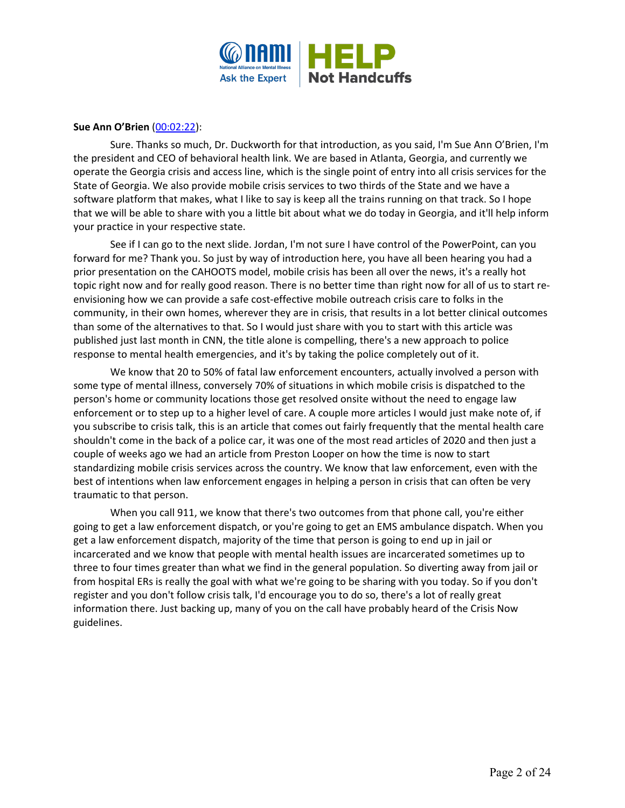

# **Sue Ann O'Brien** [\(00:02:22\)](https://www.rev.com/transcript-editor/Edit?token=K8w9JYqLJiwYoRuTiqaoqUih1VfWyjGzYmxzlsct5nuhGbvlYDMjsWTmQhcManufgvPVmzH3fEbwKOVDxtkdp_Y5bOU&loadFrom=DocumentDeeplink&ts=142.56):

Sure. Thanks so much, Dr. Duckworth for that introduction, as you said, I'm Sue Ann O'Brien, I'm the president and CEO of behavioral health link. We are based in Atlanta, Georgia, and currently we operate the Georgia crisis and access line, which is the single point of entry into all crisis services for the State of Georgia. We also provide mobile crisis services to two thirds of the State and we have a software platform that makes, what I like to say is keep all the trains running on that track. So I hope that we will be able to share with you a little bit about what we do today in Georgia, and it'll help inform your practice in your respective state.

See if I can go to the next slide. Jordan, I'm not sure I have control of the PowerPoint, can you forward for me? Thank you. So just by way of introduction here, you have all been hearing you had a prior presentation on the CAHOOTS model, mobile crisis has been all over the news, it's a really hot topic right now and for really good reason. There is no better time than right now for all of us to start reenvisioning how we can provide a safe cost-effective mobile outreach crisis care to folks in the community, in their own homes, wherever they are in crisis, that results in a lot better clinical outcomes than some of the alternatives to that. So I would just share with you to start with this article was published just last month in CNN, the title alone is compelling, there's a new approach to police response to mental health emergencies, and it's by taking the police completely out of it.

We know that 20 to 50% of fatal law enforcement encounters, actually involved a person with some type of mental illness, conversely 70% of situations in which mobile crisis is dispatched to the person's home or community locations those get resolved onsite without the need to engage law enforcement or to step up to a higher level of care. A couple more articles I would just make note of, if you subscribe to crisis talk, this is an article that comes out fairly frequently that the mental health care shouldn't come in the back of a police car, it was one of the most read articles of 2020 and then just a couple of weeks ago we had an article from Preston Looper on how the time is now to start standardizing mobile crisis services across the country. We know that law enforcement, even with the best of intentions when law enforcement engages in helping a person in crisis that can often be very traumatic to that person.

When you call 911, we know that there's two outcomes from that phone call, you're either going to get a law enforcement dispatch, or you're going to get an EMS ambulance dispatch. When you get a law enforcement dispatch, majority of the time that person is going to end up in jail or incarcerated and we know that people with mental health issues are incarcerated sometimes up to three to four times greater than what we find in the general population. So diverting away from jail or from hospital ERs is really the goal with what we're going to be sharing with you today. So if you don't register and you don't follow crisis talk, I'd encourage you to do so, there's a lot of really great information there. Just backing up, many of you on the call have probably heard of the Crisis Now guidelines.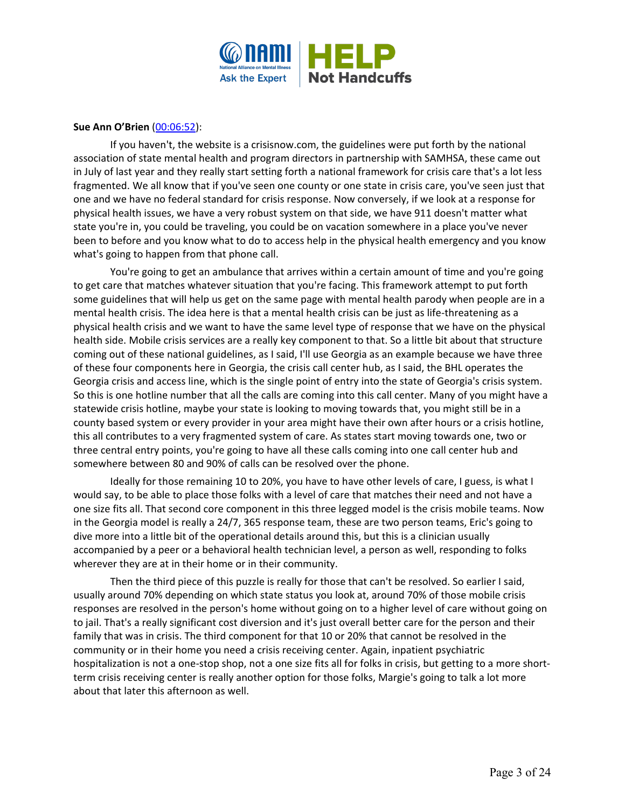

# **Sue Ann O'Brien** [\(00:06:52\)](https://www.rev.com/transcript-editor/Edit?token=lsqA-M7-uShW-qvBK6T00isdBvyo97B5HgjgAWTxlk8MGlixh_6FJmZBTQODz4jkwu442WPn5G1WYCFK9t4zhztrGks&loadFrom=DocumentDeeplink&ts=412.25):

If you haven't, the website is a crisisnow.com, the guidelines were put forth by the national association of state mental health and program directors in partnership with SAMHSA, these came out in July of last year and they really start setting forth a national framework for crisis care that's a lot less fragmented. We all know that if you've seen one county or one state in crisis care, you've seen just that one and we have no federal standard for crisis response. Now conversely, if we look at a response for physical health issues, we have a very robust system on that side, we have 911 doesn't matter what state you're in, you could be traveling, you could be on vacation somewhere in a place you've never been to before and you know what to do to access help in the physical health emergency and you know what's going to happen from that phone call.

You're going to get an ambulance that arrives within a certain amount of time and you're going to get care that matches whatever situation that you're facing. This framework attempt to put forth some guidelines that will help us get on the same page with mental health parody when people are in a mental health crisis. The idea here is that a mental health crisis can be just as life-threatening as a physical health crisis and we want to have the same level type of response that we have on the physical health side. Mobile crisis services are a really key component to that. So a little bit about that structure coming out of these national guidelines, as I said, I'll use Georgia as an example because we have three of these four components here in Georgia, the crisis call center hub, as I said, the BHL operates the Georgia crisis and access line, which is the single point of entry into the state of Georgia's crisis system. So this is one hotline number that all the calls are coming into this call center. Many of you might have a statewide crisis hotline, maybe your state is looking to moving towards that, you might still be in a county based system or every provider in your area might have their own after hours or a crisis hotline, this all contributes to a very fragmented system of care. As states start moving towards one, two or three central entry points, you're going to have all these calls coming into one call center hub and somewhere between 80 and 90% of calls can be resolved over the phone.

Ideally for those remaining 10 to 20%, you have to have other levels of care, I guess, is what I would say, to be able to place those folks with a level of care that matches their need and not have a one size fits all. That second core component in this three legged model is the crisis mobile teams. Now in the Georgia model is really a 24/7, 365 response team, these are two person teams, Eric's going to dive more into a little bit of the operational details around this, but this is a clinician usually accompanied by a peer or a behavioral health technician level, a person as well, responding to folks wherever they are at in their home or in their community.

Then the third piece of this puzzle is really for those that can't be resolved. So earlier I said, usually around 70% depending on which state status you look at, around 70% of those mobile crisis responses are resolved in the person's home without going on to a higher level of care without going on to jail. That's a really significant cost diversion and it's just overall better care for the person and their family that was in crisis. The third component for that 10 or 20% that cannot be resolved in the community or in their home you need a crisis receiving center. Again, inpatient psychiatric hospitalization is not a one-stop shop, not a one size fits all for folks in crisis, but getting to a more shortterm crisis receiving center is really another option for those folks, Margie's going to talk a lot more about that later this afternoon as well.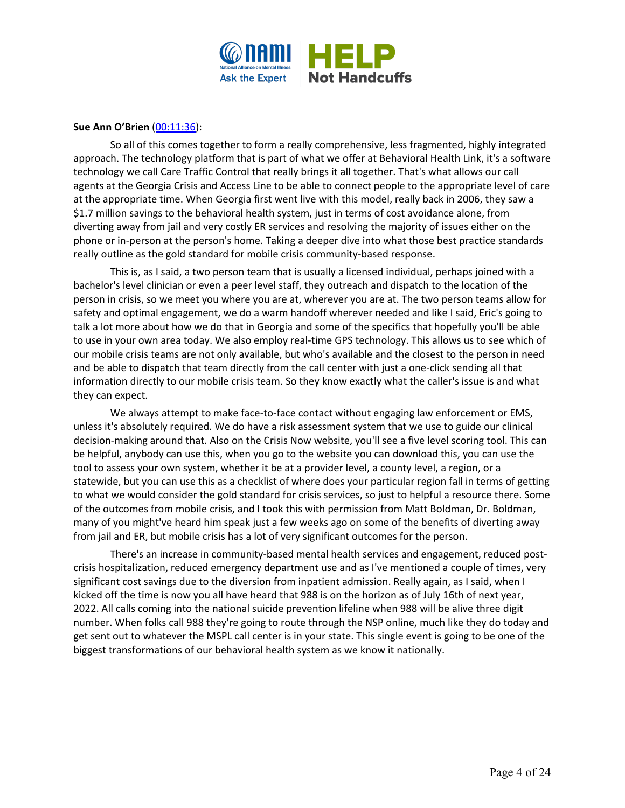

# **Sue Ann O'Brien** [\(00:11:36\)](https://www.rev.com/transcript-editor/Edit?token=r8vlW0UivYrIIGlKPRXI7UzY2f7lniEiEyencPXLNUdyqU_CVDMWeJ67X8nkGjyapjbmHGCi49WAtlibYpLivec8rJ8&loadFrom=DocumentDeeplink&ts=696.07):

So all of this comes together to form a really comprehensive, less fragmented, highly integrated approach. The technology platform that is part of what we offer at Behavioral Health Link, it's a software technology we call Care Traffic Control that really brings it all together. That's what allows our call agents at the Georgia Crisis and Access Line to be able to connect people to the appropriate level of care at the appropriate time. When Georgia first went live with this model, really back in 2006, they saw a \$1.7 million savings to the behavioral health system, just in terms of cost avoidance alone, from diverting away from jail and very costly ER services and resolving the majority of issues either on the phone or in-person at the person's home. Taking a deeper dive into what those best practice standards really outline as the gold standard for mobile crisis community-based response.

This is, as I said, a two person team that is usually a licensed individual, perhaps joined with a bachelor's level clinician or even a peer level staff, they outreach and dispatch to the location of the person in crisis, so we meet you where you are at, wherever you are at. The two person teams allow for safety and optimal engagement, we do a warm handoff wherever needed and like I said, Eric's going to talk a lot more about how we do that in Georgia and some of the specifics that hopefully you'll be able to use in your own area today. We also employ real-time GPS technology. This allows us to see which of our mobile crisis teams are not only available, but who's available and the closest to the person in need and be able to dispatch that team directly from the call center with just a one-click sending all that information directly to our mobile crisis team. So they know exactly what the caller's issue is and what they can expect.

We always attempt to make face-to-face contact without engaging law enforcement or EMS, unless it's absolutely required. We do have a risk assessment system that we use to guide our clinical decision-making around that. Also on the Crisis Now website, you'll see a five level scoring tool. This can be helpful, anybody can use this, when you go to the website you can download this, you can use the tool to assess your own system, whether it be at a provider level, a county level, a region, or a statewide, but you can use this as a checklist of where does your particular region fall in terms of getting to what we would consider the gold standard for crisis services, so just to helpful a resource there. Some of the outcomes from mobile crisis, and I took this with permission from Matt Boldman, Dr. Boldman, many of you might've heard him speak just a few weeks ago on some of the benefits of diverting away from jail and ER, but mobile crisis has a lot of very significant outcomes for the person.

There's an increase in community-based mental health services and engagement, reduced postcrisis hospitalization, reduced emergency department use and as I've mentioned a couple of times, very significant cost savings due to the diversion from inpatient admission. Really again, as I said, when I kicked off the time is now you all have heard that 988 is on the horizon as of July 16th of next year, 2022. All calls coming into the national suicide prevention lifeline when 988 will be alive three digit number. When folks call 988 they're going to route through the NSP online, much like they do today and get sent out to whatever the MSPL call center is in your state. This single event is going to be one of the biggest transformations of our behavioral health system as we know it nationally.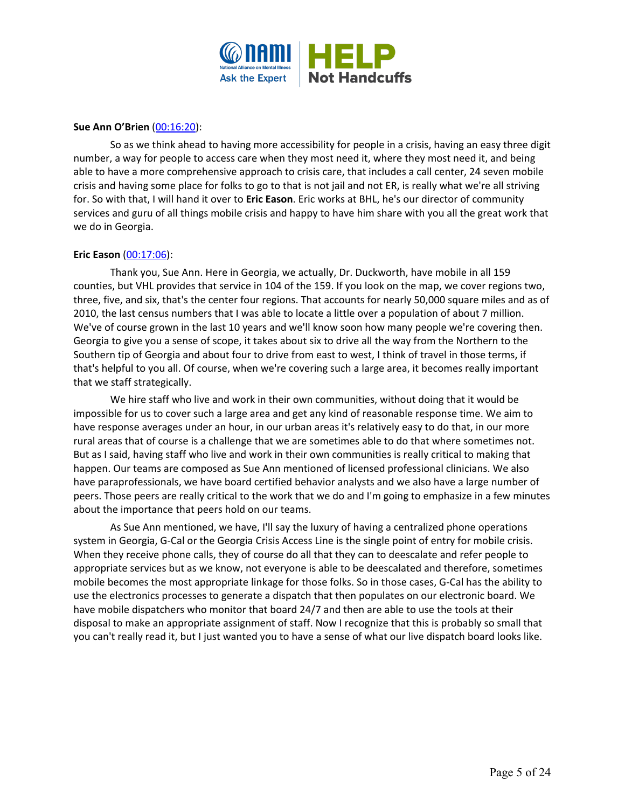

# **Sue Ann O'Brien** [\(00:16:20\)](https://www.rev.com/transcript-editor/Edit?token=Ao6y3SABIOGG0VcBUd8MR5Ukt3MUrAJX8dX302aqUnoVwlF2qhcDohwn-_futpF6SoValovfrfpohEI_HpBvY5x7uDI&loadFrom=DocumentDeeplink&ts=980.04):

So as we think ahead to having more accessibility for people in a crisis, having an easy three digit number, a way for people to access care when they most need it, where they most need it, and being able to have a more comprehensive approach to crisis care, that includes a call center, 24 seven mobile crisis and having some place for folks to go to that is not jail and not ER, is really what we're all striving for. So with that, I will hand it over to **Eric Eason**. Eric works at BHL, he's our director of community services and guru of all things mobile crisis and happy to have him share with you all the great work that we do in Georgia.

# **Eric Eason** [\(00:17:06\)](https://www.rev.com/transcript-editor/Edit?token=hYPtM_YT8HYcFUJwYcKjOOsEwX3Dg0SitIAcVKeowz0DofVZJGJ8ilrLvCqKdGpBoPEcFbvaht1Moa_BGK7PLQ78qiY&loadFrom=DocumentDeeplink&ts=1026.65):

Thank you, Sue Ann. Here in Georgia, we actually, Dr. Duckworth, have mobile in all 159 counties, but VHL provides that service in 104 of the 159. If you look on the map, we cover regions two, three, five, and six, that's the center four regions. That accounts for nearly 50,000 square miles and as of 2010, the last census numbers that I was able to locate a little over a population of about 7 million. We've of course grown in the last 10 years and we'll know soon how many people we're covering then. Georgia to give you a sense of scope, it takes about six to drive all the way from the Northern to the Southern tip of Georgia and about four to drive from east to west, I think of travel in those terms, if that's helpful to you all. Of course, when we're covering such a large area, it becomes really important that we staff strategically.

We hire staff who live and work in their own communities, without doing that it would be impossible for us to cover such a large area and get any kind of reasonable response time. We aim to have response averages under an hour, in our urban areas it's relatively easy to do that, in our more rural areas that of course is a challenge that we are sometimes able to do that where sometimes not. But as I said, having staff who live and work in their own communities is really critical to making that happen. Our teams are composed as Sue Ann mentioned of licensed professional clinicians. We also have paraprofessionals, we have board certified behavior analysts and we also have a large number of peers. Those peers are really critical to the work that we do and I'm going to emphasize in a few minutes about the importance that peers hold on our teams.

As Sue Ann mentioned, we have, I'll say the luxury of having a centralized phone operations system in Georgia, G-Cal or the Georgia Crisis Access Line is the single point of entry for mobile crisis. When they receive phone calls, they of course do all that they can to deescalate and refer people to appropriate services but as we know, not everyone is able to be deescalated and therefore, sometimes mobile becomes the most appropriate linkage for those folks. So in those cases, G-Cal has the ability to use the electronics processes to generate a dispatch that then populates on our electronic board. We have mobile dispatchers who monitor that board 24/7 and then are able to use the tools at their disposal to make an appropriate assignment of staff. Now I recognize that this is probably so small that you can't really read it, but I just wanted you to have a sense of what our live dispatch board looks like.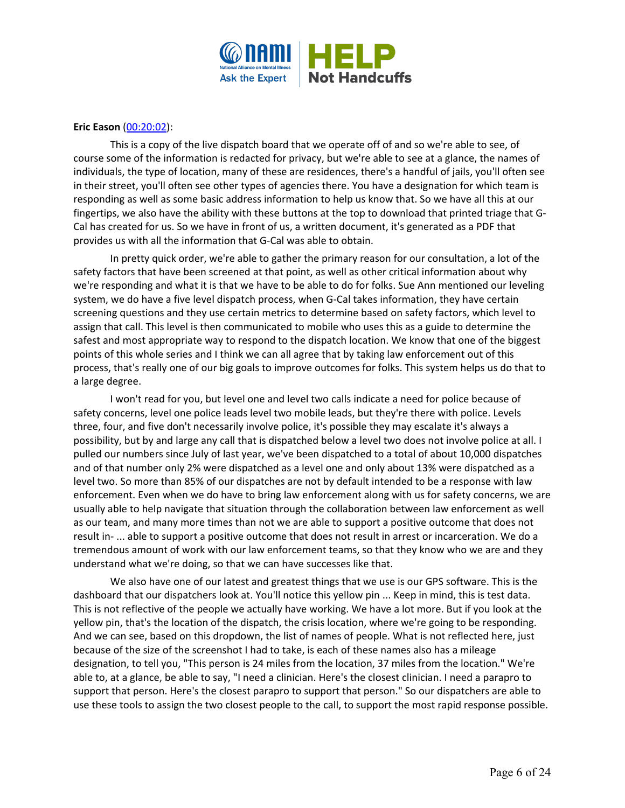

# **Eric Eason** [\(00:20:02\)](https://www.rev.com/transcript-editor/Edit?token=o2OK_k9D0Qci80_f5d_eyRKHXuex534wxsEYvt4B102sgedpNShjGyndI5bgo13sL-AxSYN7vrL6F0hx0YN-AGGx57Q&loadFrom=DocumentDeeplink&ts=1202.6):

This is a copy of the live dispatch board that we operate off of and so we're able to see, of course some of the information is redacted for privacy, but we're able to see at a glance, the names of individuals, the type of location, many of these are residences, there's a handful of jails, you'll often see in their street, you'll often see other types of agencies there. You have a designation for which team is responding as well as some basic address information to help us know that. So we have all this at our fingertips, we also have the ability with these buttons at the top to download that printed triage that G-Cal has created for us. So we have in front of us, a written document, it's generated as a PDF that provides us with all the information that G-Cal was able to obtain.

In pretty quick order, we're able to gather the primary reason for our consultation, a lot of the safety factors that have been screened at that point, as well as other critical information about why we're responding and what it is that we have to be able to do for folks. Sue Ann mentioned our leveling system, we do have a five level dispatch process, when G-Cal takes information, they have certain screening questions and they use certain metrics to determine based on safety factors, which level to assign that call. This level is then communicated to mobile who uses this as a guide to determine the safest and most appropriate way to respond to the dispatch location. We know that one of the biggest points of this whole series and I think we can all agree that by taking law enforcement out of this process, that's really one of our big goals to improve outcomes for folks. This system helps us do that to a large degree.

I won't read for you, but level one and level two calls indicate a need for police because of safety concerns, level one police leads level two mobile leads, but they're there with police. Levels three, four, and five don't necessarily involve police, it's possible they may escalate it's always a possibility, but by and large any call that is dispatched below a level two does not involve police at all. I pulled our numbers since July of last year, we've been dispatched to a total of about 10,000 dispatches and of that number only 2% were dispatched as a level one and only about 13% were dispatched as a level two. So more than 85% of our dispatches are not by default intended to be a response with law enforcement. Even when we do have to bring law enforcement along with us for safety concerns, we are usually able to help navigate that situation through the collaboration between law enforcement as well as our team, and many more times than not we are able to support a positive outcome that does not result in- ... able to support a positive outcome that does not result in arrest or incarceration. We do a tremendous amount of work with our law enforcement teams, so that they know who we are and they understand what we're doing, so that we can have successes like that.

We also have one of our latest and greatest things that we use is our GPS software. This is the dashboard that our dispatchers look at. You'll notice this yellow pin ... Keep in mind, this is test data. This is not reflective of the people we actually have working. We have a lot more. But if you look at the yellow pin, that's the location of the dispatch, the crisis location, where we're going to be responding. And we can see, based on this dropdown, the list of names of people. What is not reflected here, just because of the size of the screenshot I had to take, is each of these names also has a mileage designation, to tell you, "This person is 24 miles from the location, 37 miles from the location." We're able to, at a glance, be able to say, "I need a clinician. Here's the closest clinician. I need a parapro to support that person. Here's the closest parapro to support that person." So our dispatchers are able to use these tools to assign the two closest people to the call, to support the most rapid response possible.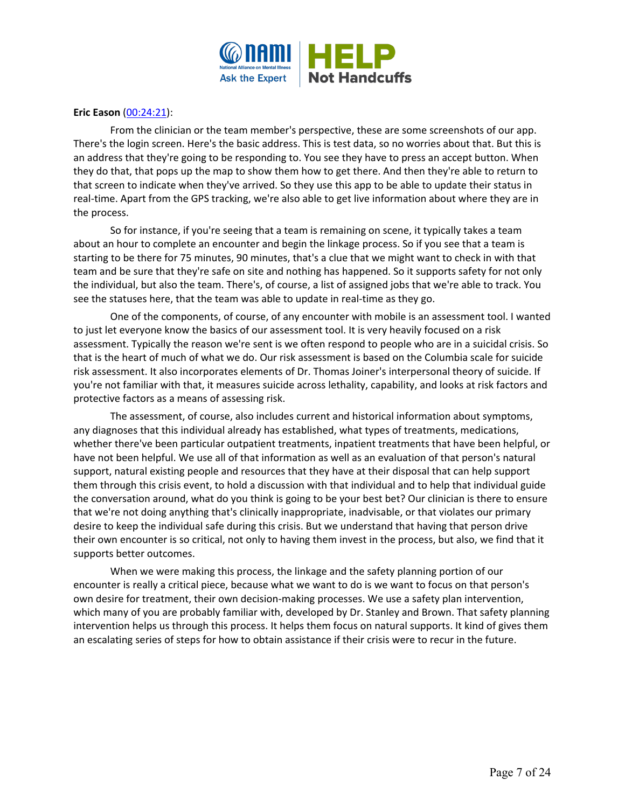

# **Eric Eason** [\(00:24:21\)](https://www.rev.com/transcript-editor/Edit?token=w7BBzApHp85bErnEybNm3A1PNEdHFw8iLty_5E-CcGe5A_Xc-er4ysb7YqWNceV1a0dZPpmgXwApe_5yhGhOQqsNe3o&loadFrom=DocumentDeeplink&ts=1461.21):

From the clinician or the team member's perspective, these are some screenshots of our app. There's the login screen. Here's the basic address. This is test data, so no worries about that. But this is an address that they're going to be responding to. You see they have to press an accept button. When they do that, that pops up the map to show them how to get there. And then they're able to return to that screen to indicate when they've arrived. So they use this app to be able to update their status in real-time. Apart from the GPS tracking, we're also able to get live information about where they are in the process.

So for instance, if you're seeing that a team is remaining on scene, it typically takes a team about an hour to complete an encounter and begin the linkage process. So if you see that a team is starting to be there for 75 minutes, 90 minutes, that's a clue that we might want to check in with that team and be sure that they're safe on site and nothing has happened. So it supports safety for not only the individual, but also the team. There's, of course, a list of assigned jobs that we're able to track. You see the statuses here, that the team was able to update in real-time as they go.

One of the components, of course, of any encounter with mobile is an assessment tool. I wanted to just let everyone know the basics of our assessment tool. It is very heavily focused on a risk assessment. Typically the reason we're sent is we often respond to people who are in a suicidal crisis. So that is the heart of much of what we do. Our risk assessment is based on the Columbia scale for suicide risk assessment. It also incorporates elements of Dr. Thomas Joiner's interpersonal theory of suicide. If you're not familiar with that, it measures suicide across lethality, capability, and looks at risk factors and protective factors as a means of assessing risk.

The assessment, of course, also includes current and historical information about symptoms, any diagnoses that this individual already has established, what types of treatments, medications, whether there've been particular outpatient treatments, inpatient treatments that have been helpful, or have not been helpful. We use all of that information as well as an evaluation of that person's natural support, natural existing people and resources that they have at their disposal that can help support them through this crisis event, to hold a discussion with that individual and to help that individual guide the conversation around, what do you think is going to be your best bet? Our clinician is there to ensure that we're not doing anything that's clinically inappropriate, inadvisable, or that violates our primary desire to keep the individual safe during this crisis. But we understand that having that person drive their own encounter is so critical, not only to having them invest in the process, but also, we find that it supports better outcomes.

When we were making this process, the linkage and the safety planning portion of our encounter is really a critical piece, because what we want to do is we want to focus on that person's own desire for treatment, their own decision-making processes. We use a safety plan intervention, which many of you are probably familiar with, developed by Dr. Stanley and Brown. That safety planning intervention helps us through this process. It helps them focus on natural supports. It kind of gives them an escalating series of steps for how to obtain assistance if their crisis were to recur in the future.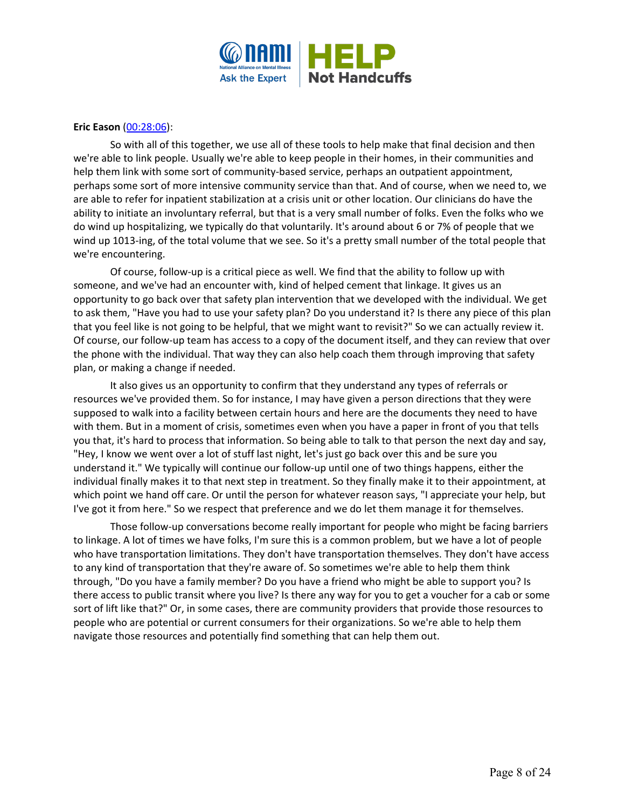

### **Eric Eason** [\(00:28:06\)](https://www.rev.com/transcript-editor/Edit?token=94-cD4YYLDUJyI7VaUSscxYVkGQxBxNYdAbMVIrCLF2y01sFfd3gfrkmXLk7qqHeSqhnHgbzl1HuQJlyJGqIBk1XouE&loadFrom=DocumentDeeplink&ts=1686.15):

So with all of this together, we use all of these tools to help make that final decision and then we're able to link people. Usually we're able to keep people in their homes, in their communities and help them link with some sort of community-based service, perhaps an outpatient appointment, perhaps some sort of more intensive community service than that. And of course, when we need to, we are able to refer for inpatient stabilization at a crisis unit or other location. Our clinicians do have the ability to initiate an involuntary referral, but that is a very small number of folks. Even the folks who we do wind up hospitalizing, we typically do that voluntarily. It's around about 6 or 7% of people that we wind up 1013-ing, of the total volume that we see. So it's a pretty small number of the total people that we're encountering.

Of course, follow-up is a critical piece as well. We find that the ability to follow up with someone, and we've had an encounter with, kind of helped cement that linkage. It gives us an opportunity to go back over that safety plan intervention that we developed with the individual. We get to ask them, "Have you had to use your safety plan? Do you understand it? Is there any piece of this plan that you feel like is not going to be helpful, that we might want to revisit?" So we can actually review it. Of course, our follow-up team has access to a copy of the document itself, and they can review that over the phone with the individual. That way they can also help coach them through improving that safety plan, or making a change if needed.

It also gives us an opportunity to confirm that they understand any types of referrals or resources we've provided them. So for instance, I may have given a person directions that they were supposed to walk into a facility between certain hours and here are the documents they need to have with them. But in a moment of crisis, sometimes even when you have a paper in front of you that tells you that, it's hard to process that information. So being able to talk to that person the next day and say, "Hey, I know we went over a lot of stuff last night, let's just go back over this and be sure you understand it." We typically will continue our follow-up until one of two things happens, either the individual finally makes it to that next step in treatment. So they finally make it to their appointment, at which point we hand off care. Or until the person for whatever reason says, "I appreciate your help, but I've got it from here." So we respect that preference and we do let them manage it for themselves.

Those follow-up conversations become really important for people who might be facing barriers to linkage. A lot of times we have folks, I'm sure this is a common problem, but we have a lot of people who have transportation limitations. They don't have transportation themselves. They don't have access to any kind of transportation that they're aware of. So sometimes we're able to help them think through, "Do you have a family member? Do you have a friend who might be able to support you? Is there access to public transit where you live? Is there any way for you to get a voucher for a cab or some sort of lift like that?" Or, in some cases, there are community providers that provide those resources to people who are potential or current consumers for their organizations. So we're able to help them navigate those resources and potentially find something that can help them out.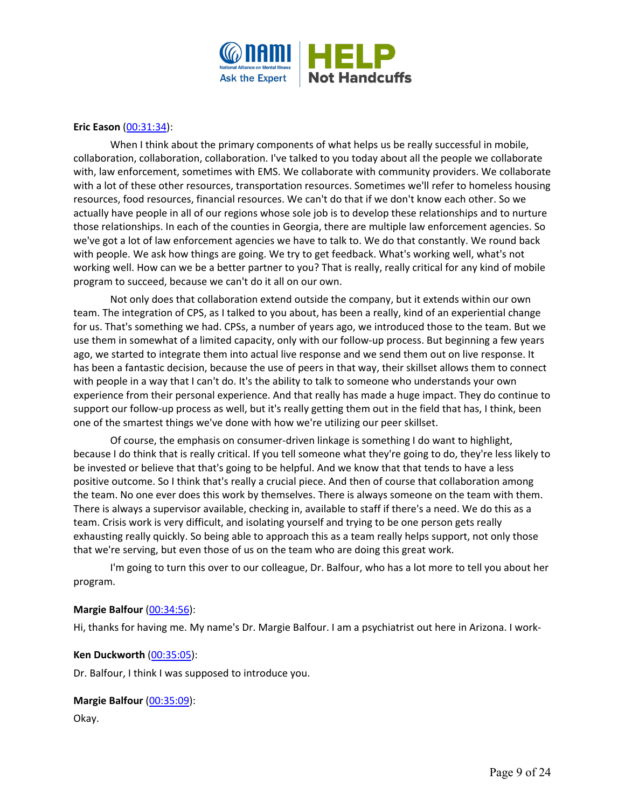

### **Eric Eason** [\(00:31:34\)](https://www.rev.com/transcript-editor/Edit?token=lPM7uXieinJMISX6-aL04rBh_LjL-JVvTn5z2bP9odsjdMGuEORLJkAzBmiLl60tAIKfTAbVteokCU2yte3-sZ8rt3c&loadFrom=DocumentDeeplink&ts=1894.56):

When I think about the primary components of what helps us be really successful in mobile, collaboration, collaboration, collaboration. I've talked to you today about all the people we collaborate with, law enforcement, sometimes with EMS. We collaborate with community providers. We collaborate with a lot of these other resources, transportation resources. Sometimes we'll refer to homeless housing resources, food resources, financial resources. We can't do that if we don't know each other. So we actually have people in all of our regions whose sole job is to develop these relationships and to nurture those relationships. In each of the counties in Georgia, there are multiple law enforcement agencies. So we've got a lot of law enforcement agencies we have to talk to. We do that constantly. We round back with people. We ask how things are going. We try to get feedback. What's working well, what's not working well. How can we be a better partner to you? That is really, really critical for any kind of mobile program to succeed, because we can't do it all on our own.

Not only does that collaboration extend outside the company, but it extends within our own team. The integration of CPS, as I talked to you about, has been a really, kind of an experiential change for us. That's something we had. CPSs, a number of years ago, we introduced those to the team. But we use them in somewhat of a limited capacity, only with our follow-up process. But beginning a few years ago, we started to integrate them into actual live response and we send them out on live response. It has been a fantastic decision, because the use of peers in that way, their skillset allows them to connect with people in a way that I can't do. It's the ability to talk to someone who understands your own experience from their personal experience. And that really has made a huge impact. They do continue to support our follow-up process as well, but it's really getting them out in the field that has, I think, been one of the smartest things we've done with how we're utilizing our peer skillset.

Of course, the emphasis on consumer-driven linkage is something I do want to highlight, because I do think that is really critical. If you tell someone what they're going to do, they're less likely to be invested or believe that that's going to be helpful. And we know that that tends to have a less positive outcome. So I think that's really a crucial piece. And then of course that collaboration among the team. No one ever does this work by themselves. There is always someone on the team with them. There is always a supervisor available, checking in, available to staff if there's a need. We do this as a team. Crisis work is very difficult, and isolating yourself and trying to be one person gets really exhausting really quickly. So being able to approach this as a team really helps support, not only those that we're serving, but even those of us on the team who are doing this great work.

I'm going to turn this over to our colleague, Dr. Balfour, who has a lot more to tell you about her program.

#### **Margie Balfour [\(00:34:56\)](https://www.rev.com/transcript-editor/Edit?token=gZkt6bYHmBmcaOxseVyGh7Fpr72Tz8_ijovsokeboZ26vq9HLU8lhQhDaZgT1VnKRND7CpbouUXwOxAnN8XmbQpsfLA&loadFrom=DocumentDeeplink&ts=2096.21):**

Hi, thanks for having me. My name's Dr. Margie Balfour. I am a psychiatrist out here in Arizona. I work-

#### **Ken Duckworth** [\(00:35:05\)](https://www.rev.com/transcript-editor/Edit?token=LGhKx1r6J4FqE-6eW2S9MJsiA7yg3FTgtfqOQsp-pLFt418SY3_DATGhF7fOewEAYR2NXrNsSubOMJ3PBnnMIF4MvS0&loadFrom=DocumentDeeplink&ts=2105.47):

Dr. Balfour, I think I was supposed to introduce you.

# **Margie Balfour** [\(00:35:09\)](https://www.rev.com/transcript-editor/Edit?token=Xw7-QGBZbosSaO62McQGS0jOdNfdZUnUh4f3HW6DUnrc2z4K-x6Koh1_S26MQkF9DlQvoM_L-UW0ODfWAAw-qinX1Zc&loadFrom=DocumentDeeplink&ts=2109.12):

Okay.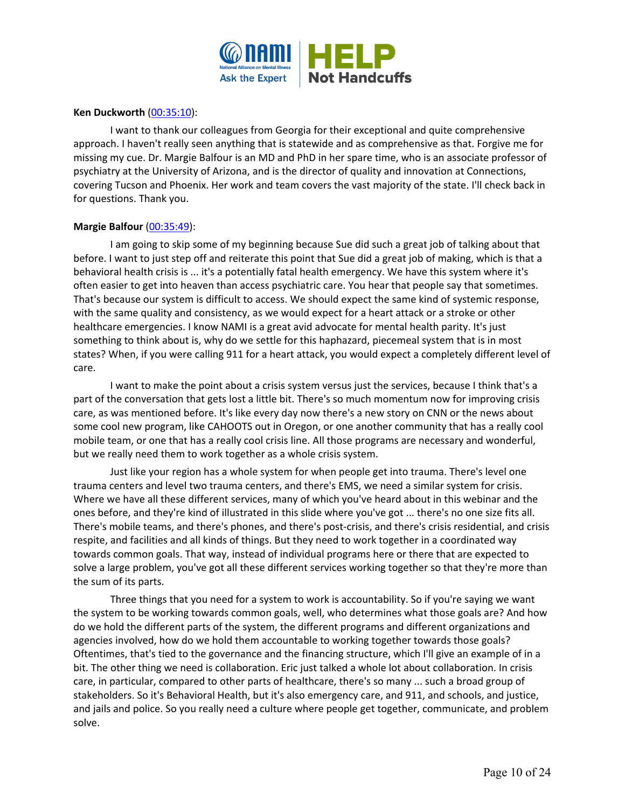

### **Ken Duckworth** [\(00:35:10\)](https://www.rev.com/transcript-editor/Edit?token=GVT8M6dnETKMmCNoGh0Uugh_6TlCfHdWmi47x1WiquIqtN9GU0nLLywfhAyNNkbMTQVtdPObAkHaPz_lJzKomFNrDlw&loadFrom=DocumentDeeplink&ts=2110.24):

I want to thank our colleagues from Georgia for their exceptional and quite comprehensive approach. I haven't really seen anything that is statewide and as comprehensive as that. Forgive me for missing my cue. Dr. Margie Balfour is an MD and PhD in her spare time, who is an associate professor of psychiatry at the University of Arizona, and is the director of quality and innovation at Connections, covering Tucson and Phoenix. Her work and team covers the vast majority of the state. I'll check back in for questions. Thank you.

# **Margie Balfour** [\(00:35:49\)](https://www.rev.com/transcript-editor/Edit?token=jF0uXDotIBD5caFnCxwdJVj3O6POvbQznoD8Sppsoi2SRTLizvSsL8Xe82hw7FZuogaiip_0a123SIGWTiaMF_feELs&loadFrom=DocumentDeeplink&ts=2149.7):

I am going to skip some of my beginning because Sue did such a great job of talking about that before. I want to just step off and reiterate this point that Sue did a great job of making, which is that a behavioral health crisis is ... it's a potentially fatal health emergency. We have this system where it's often easier to get into heaven than access psychiatric care. You hear that people say that sometimes. That's because our system is difficult to access. We should expect the same kind of systemic response, with the same quality and consistency, as we would expect for a heart attack or a stroke or other healthcare emergencies. I know NAMI is a great avid advocate for mental health parity. It's just something to think about is, why do we settle for this haphazard, piecemeal system that is in most states? When, if you were calling 911 for a heart attack, you would expect a completely different level of care.

I want to make the point about a crisis system versus just the services, because I think that's a part of the conversation that gets lost a little bit. There's so much momentum now for improving crisis care, as was mentioned before. It's like every day now there's a new story on CNN or the news about some cool new program, like CAHOOTS out in Oregon, or one another community that has a really cool mobile team, or one that has a really cool crisis line. All those programs are necessary and wonderful, but we really need them to work together as a whole crisis system.

Just like your region has a whole system for when people get into trauma. There's level one trauma centers and level two trauma centers, and there's EMS, we need a similar system for crisis. Where we have all these different services, many of which you've heard about in this webinar and the ones before, and they're kind of illustrated in this slide where you've got ... there's no one size fits all. There's mobile teams, and there's phones, and there's post-crisis, and there's crisis residential, and crisis respite, and facilities and all kinds of things. But they need to work together in a coordinated way towards common goals. That way, instead of individual programs here or there that are expected to solve a large problem, you've got all these different services working together so that they're more than the sum of its parts.

Three things that you need for a system to work is accountability. So if you're saying we want the system to be working towards common goals, well, who determines what those goals are? And how do we hold the different parts of the system, the different programs and different organizations and agencies involved, how do we hold them accountable to working together towards those goals? Oftentimes, that's tied to the governance and the financing structure, which I'll give an example of in a bit. The other thing we need is collaboration. Eric just talked a whole lot about collaboration. In crisis care, in particular, compared to other parts of healthcare, there's so many ... such a broad group of stakeholders. So it's Behavioral Health, but it's also emergency care, and 911, and schools, and justice, and jails and police. So you really need a culture where people get together, communicate, and problem solve.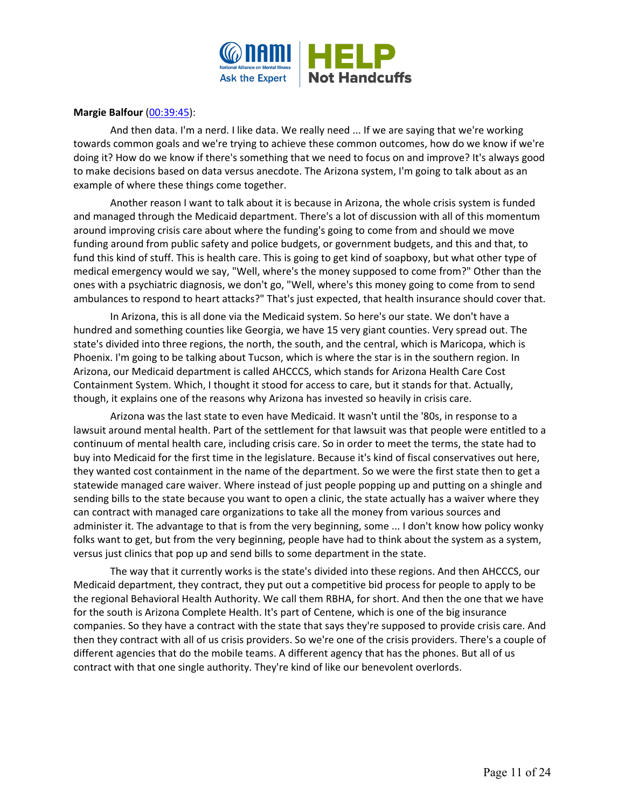

# **Margie Balfour** [\(00:39:45\)](https://www.rev.com/transcript-editor/Edit?token=STl1afQ72dYW7S1YqWYymyHoL72qp0rT_U1PK3L5dncjIZQVwPXmfQ3h3Yet5gRl5tVGUl6G0Rbzn3QeRErFQ2pe1HI&loadFrom=DocumentDeeplink&ts=2385.27):

And then data. I'm a nerd. I like data. We really need ... If we are saying that we're working towards common goals and we're trying to achieve these common outcomes, how do we know if we're doing it? How do we know if there's something that we need to focus on and improve? It's always good to make decisions based on data versus anecdote. The Arizona system, I'm going to talk about as an example of where these things come together.

Another reason I want to talk about it is because in Arizona, the whole crisis system is funded and managed through the Medicaid department. There's a lot of discussion with all of this momentum around improving crisis care about where the funding's going to come from and should we move funding around from public safety and police budgets, or government budgets, and this and that, to fund this kind of stuff. This is health care. This is going to get kind of soapboxy, but what other type of medical emergency would we say, "Well, where's the money supposed to come from?" Other than the ones with a psychiatric diagnosis, we don't go, "Well, where's this money going to come from to send ambulances to respond to heart attacks?" That's just expected, that health insurance should cover that.

In Arizona, this is all done via the Medicaid system. So here's our state. We don't have a hundred and something counties like Georgia, we have 15 very giant counties. Very spread out. The state's divided into three regions, the north, the south, and the central, which is Maricopa, which is Phoenix. I'm going to be talking about Tucson, which is where the star is in the southern region. In Arizona, our Medicaid department is called AHCCCS, which stands for Arizona Health Care Cost Containment System. Which, I thought it stood for access to care, but it stands for that. Actually, though, it explains one of the reasons why Arizona has invested so heavily in crisis care.

Arizona was the last state to even have Medicaid. It wasn't until the '80s, in response to a lawsuit around mental health. Part of the settlement for that lawsuit was that people were entitled to a continuum of mental health care, including crisis care. So in order to meet the terms, the state had to buy into Medicaid for the first time in the legislature. Because it's kind of fiscal conservatives out here, they wanted cost containment in the name of the department. So we were the first state then to get a statewide managed care waiver. Where instead of just people popping up and putting on a shingle and sending bills to the state because you want to open a clinic, the state actually has a waiver where they can contract with managed care organizations to take all the money from various sources and administer it. The advantage to that is from the very beginning, some ... I don't know how policy wonky folks want to get, but from the very beginning, people have had to think about the system as a system, versus just clinics that pop up and send bills to some department in the state.

The way that it currently works is the state's divided into these regions. And then AHCCCS, our Medicaid department, they contract, they put out a competitive bid process for people to apply to be the regional Behavioral Health Authority. We call them RBHA, for short. And then the one that we have for the south is Arizona Complete Health. It's part of Centene, which is one of the big insurance companies. So they have a contract with the state that says they're supposed to provide crisis care. And then they contract with all of us crisis providers. So we're one of the crisis providers. There's a couple of different agencies that do the mobile teams. A different agency that has the phones. But all of us contract with that one single authority. They're kind of like our benevolent overlords.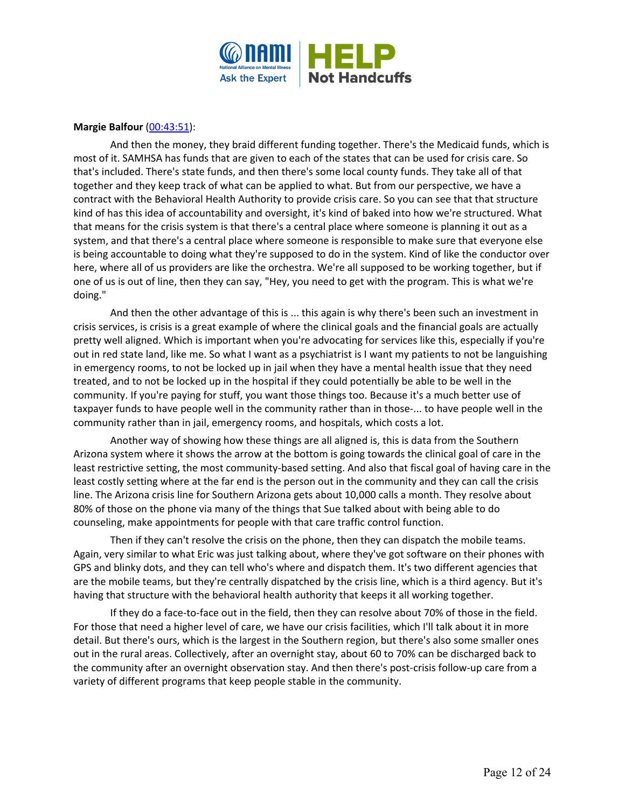

# **Margie Balfour** [\(00:43:51\)](https://www.rev.com/transcript-editor/Edit?token=Cmdt1Wcc3gUt1NSsGVEyG16snmkMgPoaHKIAQ7gIob1eP63BzAOoBnrLWG1gKJw-pLpamyueRdDeaeBDCjnKTlp_vMI&loadFrom=DocumentDeeplink&ts=2631.75):

And then the money, they braid different funding together. There's the Medicaid funds, which is most of it. SAMHSA has funds that are given to each of the states that can be used for crisis care. So that's included. There's state funds, and then there's some local county funds. They take all of that together and they keep track of what can be applied to what. But from our perspective, we have a contract with the Behavioral Health Authority to provide crisis care. So you can see that that structure kind of has this idea of accountability and oversight, it's kind of baked into how we're structured. What that means for the crisis system is that there's a central place where someone is planning it out as a system, and that there's a central place where someone is responsible to make sure that everyone else is being accountable to doing what they're supposed to do in the system. Kind of like the conductor over here, where all of us providers are like the orchestra. We're all supposed to be working together, but if one of us is out of line, then they can say, "Hey, you need to get with the program. This is what we're doing."

And then the other advantage of this is ... this again is why there's been such an investment in crisis services, is crisis is a great example of where the clinical goals and the financial goals are actually pretty well aligned. Which is important when you're advocating for services like this, especially if you're out in red state land, like me. So what I want as a psychiatrist is I want my patients to not be languishing in emergency rooms, to not be locked up in jail when they have a mental health issue that they need treated, and to not be locked up in the hospital if they could potentially be able to be well in the community. If you're paying for stuff, you want those things too. Because it's a much better use of taxpayer funds to have people well in the community rather than in those-... to have people well in the community rather than in jail, emergency rooms, and hospitals, which costs a lot.

Another way of showing how these things are all aligned is, this is data from the Southern Arizona system where it shows the arrow at the bottom is going towards the clinical goal of care in the least restrictive setting, the most community-based setting. And also that fiscal goal of having care in the least costly setting where at the far end is the person out in the community and they can call the crisis line. The Arizona crisis line for Southern Arizona gets about 10,000 calls a month. They resolve about 80% of those on the phone via many of the things that Sue talked about with being able to do counseling, make appointments for people with that care traffic control function.

Then if they can't resolve the crisis on the phone, then they can dispatch the mobile teams. Again, very similar to what Eric was just talking about, where they've got software on their phones with GPS and blinky dots, and they can tell who's where and dispatch them. It's two different agencies that are the mobile teams, but they're centrally dispatched by the crisis line, which is a third agency. But it's having that structure with the behavioral health authority that keeps it all working together.

If they do a face-to-face out in the field, then they can resolve about 70% of those in the field. For those that need a higher level of care, we have our crisis facilities, which I'll talk about it in more detail. But there's ours, which is the largest in the Southern region, but there's also some smaller ones out in the rural areas. Collectively, after an overnight stay, about 60 to 70% can be discharged back to the community after an overnight observation stay. And then there's post-crisis follow-up care from a variety of different programs that keep people stable in the community.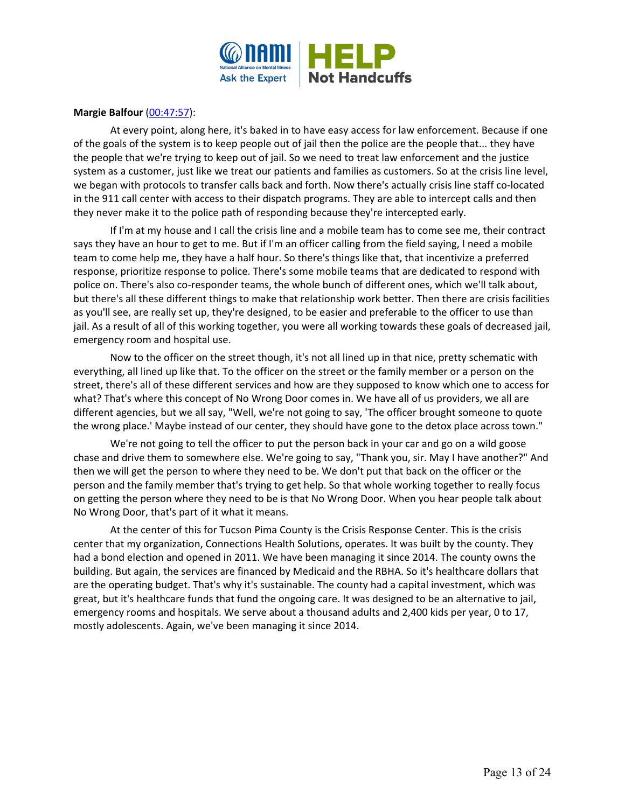

# **Margie Balfour** [\(00:47:57\)](https://www.rev.com/transcript-editor/Edit?token=TKJsZ89_o1fQ_lDAFAKJHkTkrAe5UutKeEZEBeMllI4ASu4YbpBglCu_yPGnuiumMFcJCp7TTgClomSc9MwXh3aXKC8&loadFrom=DocumentDeeplink&ts=2877.6):

At every point, along here, it's baked in to have easy access for law enforcement. Because if one of the goals of the system is to keep people out of jail then the police are the people that... they have the people that we're trying to keep out of jail. So we need to treat law enforcement and the justice system as a customer, just like we treat our patients and families as customers. So at the crisis line level, we began with protocols to transfer calls back and forth. Now there's actually crisis line staff co-located in the 911 call center with access to their dispatch programs. They are able to intercept calls and then they never make it to the police path of responding because they're intercepted early.

If I'm at my house and I call the crisis line and a mobile team has to come see me, their contract says they have an hour to get to me. But if I'm an officer calling from the field saying, I need a mobile team to come help me, they have a half hour. So there's things like that, that incentivize a preferred response, prioritize response to police. There's some mobile teams that are dedicated to respond with police on. There's also co-responder teams, the whole bunch of different ones, which we'll talk about, but there's all these different things to make that relationship work better. Then there are crisis facilities as you'll see, are really set up, they're designed, to be easier and preferable to the officer to use than jail. As a result of all of this working together, you were all working towards these goals of decreased jail, emergency room and hospital use.

Now to the officer on the street though, it's not all lined up in that nice, pretty schematic with everything, all lined up like that. To the officer on the street or the family member or a person on the street, there's all of these different services and how are they supposed to know which one to access for what? That's where this concept of No Wrong Door comes in. We have all of us providers, we all are different agencies, but we all say, "Well, we're not going to say, 'The officer brought someone to quote the wrong place.' Maybe instead of our center, they should have gone to the detox place across town."

We're not going to tell the officer to put the person back in your car and go on a wild goose chase and drive them to somewhere else. We're going to say, "Thank you, sir. May I have another?" And then we will get the person to where they need to be. We don't put that back on the officer or the person and the family member that's trying to get help. So that whole working together to really focus on getting the person where they need to be is that No Wrong Door. When you hear people talk about No Wrong Door, that's part of it what it means.

At the center of this for Tucson Pima County is the Crisis Response Center. This is the crisis center that my organization, Connections Health Solutions, operates. It was built by the county. They had a bond election and opened in 2011. We have been managing it since 2014. The county owns the building. But again, the services are financed by Medicaid and the RBHA. So it's healthcare dollars that are the operating budget. That's why it's sustainable. The county had a capital investment, which was great, but it's healthcare funds that fund the ongoing care. It was designed to be an alternative to jail, emergency rooms and hospitals. We serve about a thousand adults and 2,400 kids per year, 0 to 17, mostly adolescents. Again, we've been managing it since 2014.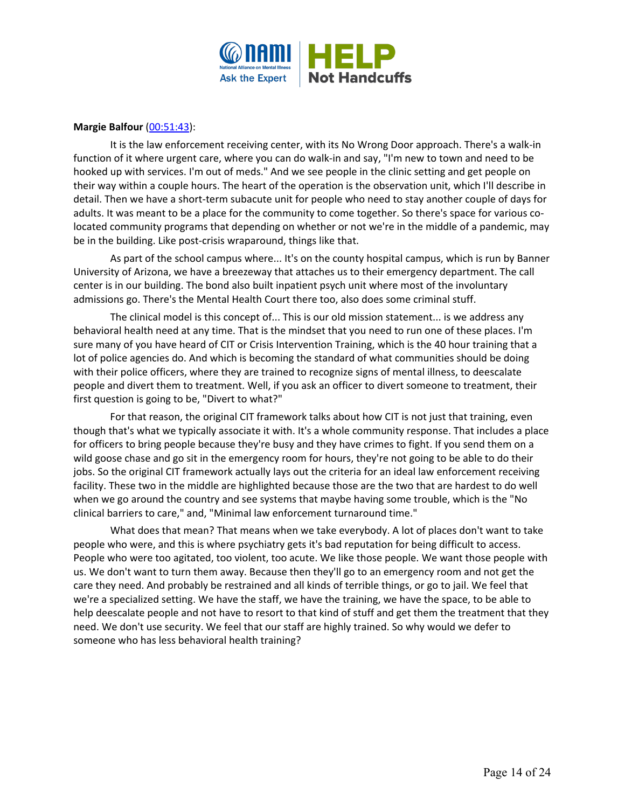

# **Margie Balfour** [\(00:51:43\)](https://www.rev.com/transcript-editor/Edit?token=vJMaVnxviOq3aTUardj0wv7HxyYVjJShGtdLu7RamEOXhdGv1ZJfc65WC-T5sKuK3Dx5lbFwGuknQXUbyqmbGSOunrs&loadFrom=DocumentDeeplink&ts=3103.16):

It is the law enforcement receiving center, with its No Wrong Door approach. There's a walk-in function of it where urgent care, where you can do walk-in and say, "I'm new to town and need to be hooked up with services. I'm out of meds." And we see people in the clinic setting and get people on their way within a couple hours. The heart of the operation is the observation unit, which I'll describe in detail. Then we have a short-term subacute unit for people who need to stay another couple of days for adults. It was meant to be a place for the community to come together. So there's space for various colocated community programs that depending on whether or not we're in the middle of a pandemic, may be in the building. Like post-crisis wraparound, things like that.

As part of the school campus where... It's on the county hospital campus, which is run by Banner University of Arizona, we have a breezeway that attaches us to their emergency department. The call center is in our building. The bond also built inpatient psych unit where most of the involuntary admissions go. There's the Mental Health Court there too, also does some criminal stuff.

The clinical model is this concept of... This is our old mission statement... is we address any behavioral health need at any time. That is the mindset that you need to run one of these places. I'm sure many of you have heard of CIT or Crisis Intervention Training, which is the 40 hour training that a lot of police agencies do. And which is becoming the standard of what communities should be doing with their police officers, where they are trained to recognize signs of mental illness, to deescalate people and divert them to treatment. Well, if you ask an officer to divert someone to treatment, their first question is going to be, "Divert to what?"

For that reason, the original CIT framework talks about how CIT is not just that training, even though that's what we typically associate it with. It's a whole community response. That includes a place for officers to bring people because they're busy and they have crimes to fight. If you send them on a wild goose chase and go sit in the emergency room for hours, they're not going to be able to do their jobs. So the original CIT framework actually lays out the criteria for an ideal law enforcement receiving facility. These two in the middle are highlighted because those are the two that are hardest to do well when we go around the country and see systems that maybe having some trouble, which is the "No clinical barriers to care," and, "Minimal law enforcement turnaround time."

What does that mean? That means when we take everybody. A lot of places don't want to take people who were, and this is where psychiatry gets it's bad reputation for being difficult to access. People who were too agitated, too violent, too acute. We like those people. We want those people with us. We don't want to turn them away. Because then they'll go to an emergency room and not get the care they need. And probably be restrained and all kinds of terrible things, or go to jail. We feel that we're a specialized setting. We have the staff, we have the training, we have the space, to be able to help deescalate people and not have to resort to that kind of stuff and get them the treatment that they need. We don't use security. We feel that our staff are highly trained. So why would we defer to someone who has less behavioral health training?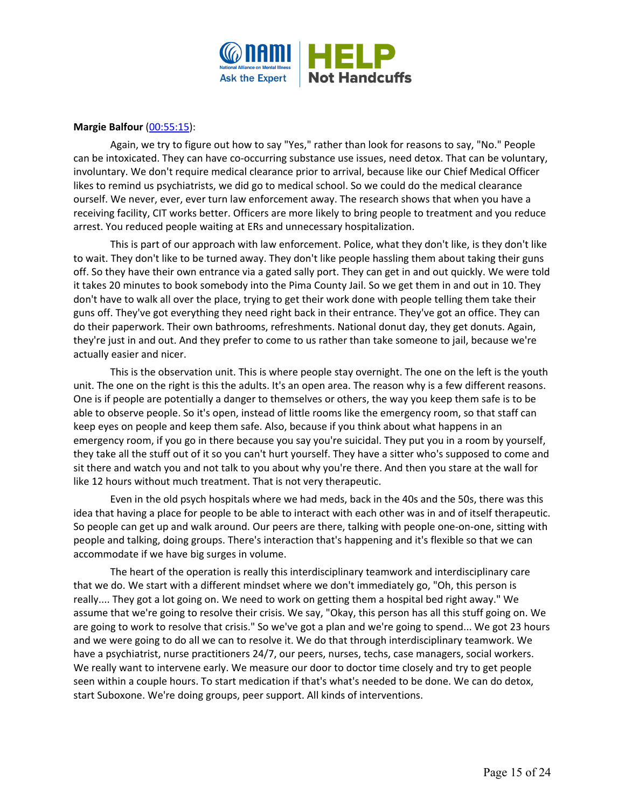

# **Margie Balfour** [\(00:55:15\)](https://www.rev.com/transcript-editor/Edit?token=pd5HzMM0RLziqPPK0BBdy9M9EX4OFKOiFSD6ybW_B3J6oCOxNZ6rOeMBKBlnLYWrf3o-pqT1qKFhDiQjzmgFLt0nkNI&loadFrom=DocumentDeeplink&ts=3315.88):

Again, we try to figure out how to say "Yes," rather than look for reasons to say, "No." People can be intoxicated. They can have co-occurring substance use issues, need detox. That can be voluntary, involuntary. We don't require medical clearance prior to arrival, because like our Chief Medical Officer likes to remind us psychiatrists, we did go to medical school. So we could do the medical clearance ourself. We never, ever, ever turn law enforcement away. The research shows that when you have a receiving facility, CIT works better. Officers are more likely to bring people to treatment and you reduce arrest. You reduced people waiting at ERs and unnecessary hospitalization.

This is part of our approach with law enforcement. Police, what they don't like, is they don't like to wait. They don't like to be turned away. They don't like people hassling them about taking their guns off. So they have their own entrance via a gated sally port. They can get in and out quickly. We were told it takes 20 minutes to book somebody into the Pima County Jail. So we get them in and out in 10. They don't have to walk all over the place, trying to get their work done with people telling them take their guns off. They've got everything they need right back in their entrance. They've got an office. They can do their paperwork. Their own bathrooms, refreshments. National donut day, they get donuts. Again, they're just in and out. And they prefer to come to us rather than take someone to jail, because we're actually easier and nicer.

This is the observation unit. This is where people stay overnight. The one on the left is the youth unit. The one on the right is this the adults. It's an open area. The reason why is a few different reasons. One is if people are potentially a danger to themselves or others, the way you keep them safe is to be able to observe people. So it's open, instead of little rooms like the emergency room, so that staff can keep eyes on people and keep them safe. Also, because if you think about what happens in an emergency room, if you go in there because you say you're suicidal. They put you in a room by yourself, they take all the stuff out of it so you can't hurt yourself. They have a sitter who's supposed to come and sit there and watch you and not talk to you about why you're there. And then you stare at the wall for like 12 hours without much treatment. That is not very therapeutic.

Even in the old psych hospitals where we had meds, back in the 40s and the 50s, there was this idea that having a place for people to be able to interact with each other was in and of itself therapeutic. So people can get up and walk around. Our peers are there, talking with people one-on-one, sitting with people and talking, doing groups. There's interaction that's happening and it's flexible so that we can accommodate if we have big surges in volume.

The heart of the operation is really this interdisciplinary teamwork and interdisciplinary care that we do. We start with a different mindset where we don't immediately go, "Oh, this person is really.... They got a lot going on. We need to work on getting them a hospital bed right away." We assume that we're going to resolve their crisis. We say, "Okay, this person has all this stuff going on. We are going to work to resolve that crisis." So we've got a plan and we're going to spend... We got 23 hours and we were going to do all we can to resolve it. We do that through interdisciplinary teamwork. We have a psychiatrist, nurse practitioners 24/7, our peers, nurses, techs, case managers, social workers. We really want to intervene early. We measure our door to doctor time closely and try to get people seen within a couple hours. To start medication if that's what's needed to be done. We can do detox, start Suboxone. We're doing groups, peer support. All kinds of interventions.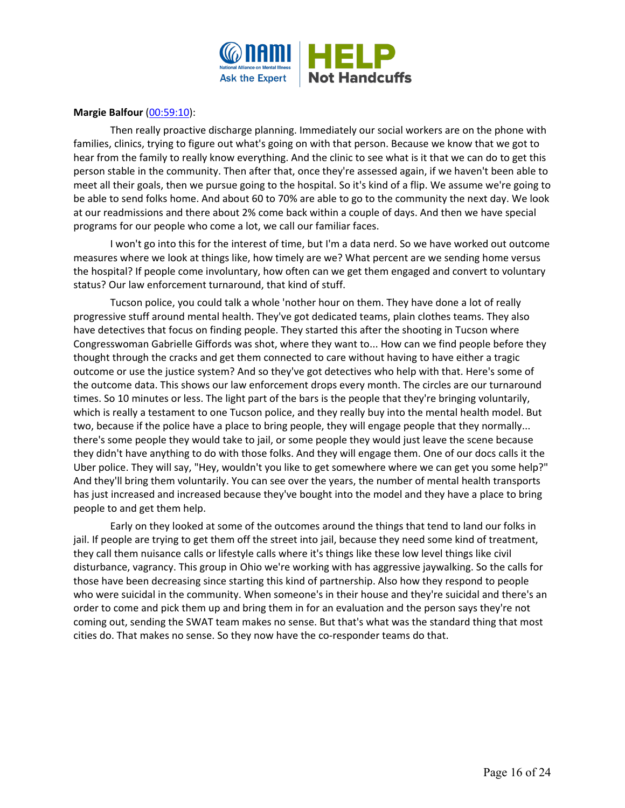

### **Margie Balfour [\(00:59:10\)](https://www.rev.com/transcript-editor/Edit?token=SwmOUL7Db-LRGlNUG21HQMdWfJVLe0yza1mP5eXZ8mDmj-2e0TsCpUir4AL445Dpn83J-0oGzpnIeQzpD0fvxZQbDfw&loadFrom=DocumentDeeplink&ts=3550.17):**

Then really proactive discharge planning. Immediately our social workers are on the phone with families, clinics, trying to figure out what's going on with that person. Because we know that we got to hear from the family to really know everything. And the clinic to see what is it that we can do to get this person stable in the community. Then after that, once they're assessed again, if we haven't been able to meet all their goals, then we pursue going to the hospital. So it's kind of a flip. We assume we're going to be able to send folks home. And about 60 to 70% are able to go to the community the next day. We look at our readmissions and there about 2% come back within a couple of days. And then we have special programs for our people who come a lot, we call our familiar faces.

I won't go into this for the interest of time, but I'm a data nerd. So we have worked out outcome measures where we look at things like, how timely are we? What percent are we sending home versus the hospital? If people come involuntary, how often can we get them engaged and convert to voluntary status? Our law enforcement turnaround, that kind of stuff.

Tucson police, you could talk a whole 'nother hour on them. They have done a lot of really progressive stuff around mental health. They've got dedicated teams, plain clothes teams. They also have detectives that focus on finding people. They started this after the shooting in Tucson where Congresswoman Gabrielle Giffords was shot, where they want to... How can we find people before they thought through the cracks and get them connected to care without having to have either a tragic outcome or use the justice system? And so they've got detectives who help with that. Here's some of the outcome data. This shows our law enforcement drops every month. The circles are our turnaround times. So 10 minutes or less. The light part of the bars is the people that they're bringing voluntarily, which is really a testament to one Tucson police, and they really buy into the mental health model. But two, because if the police have a place to bring people, they will engage people that they normally... there's some people they would take to jail, or some people they would just leave the scene because they didn't have anything to do with those folks. And they will engage them. One of our docs calls it the Uber police. They will say, "Hey, wouldn't you like to get somewhere where we can get you some help?" And they'll bring them voluntarily. You can see over the years, the number of mental health transports has just increased and increased because they've bought into the model and they have a place to bring people to and get them help.

Early on they looked at some of the outcomes around the things that tend to land our folks in jail. If people are trying to get them off the street into jail, because they need some kind of treatment, they call them nuisance calls or lifestyle calls where it's things like these low level things like civil disturbance, vagrancy. This group in Ohio we're working with has aggressive jaywalking. So the calls for those have been decreasing since starting this kind of partnership. Also how they respond to people who were suicidal in the community. When someone's in their house and they're suicidal and there's an order to come and pick them up and bring them in for an evaluation and the person says they're not coming out, sending the SWAT team makes no sense. But that's what was the standard thing that most cities do. That makes no sense. So they now have the co-responder teams do that.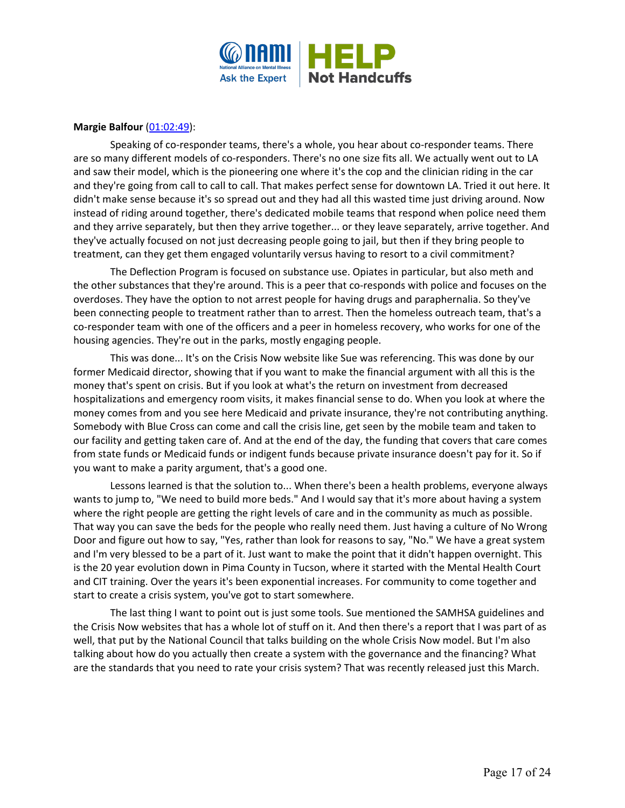

# **Margie Balfour** [\(01:02:49\)](https://www.rev.com/transcript-editor/Edit?token=CRcdRVGrKP3357KT7KXuHu3L3zE0TxZPfVvZq-mGdu5ziAdmNb-KIb6BJa7559WdzxV0CzyJOHat4wADA76qMjJ82CY&loadFrom=DocumentDeeplink&ts=3769.06):

Speaking of co-responder teams, there's a whole, you hear about co-responder teams. There are so many different models of co-responders. There's no one size fits all. We actually went out to LA and saw their model, which is the pioneering one where it's the cop and the clinician riding in the car and they're going from call to call to call. That makes perfect sense for downtown LA. Tried it out here. It didn't make sense because it's so spread out and they had all this wasted time just driving around. Now instead of riding around together, there's dedicated mobile teams that respond when police need them and they arrive separately, but then they arrive together... or they leave separately, arrive together. And they've actually focused on not just decreasing people going to jail, but then if they bring people to treatment, can they get them engaged voluntarily versus having to resort to a civil commitment?

The Deflection Program is focused on substance use. Opiates in particular, but also meth and the other substances that they're around. This is a peer that co-responds with police and focuses on the overdoses. They have the option to not arrest people for having drugs and paraphernalia. So they've been connecting people to treatment rather than to arrest. Then the homeless outreach team, that's a co-responder team with one of the officers and a peer in homeless recovery, who works for one of the housing agencies. They're out in the parks, mostly engaging people.

This was done... It's on the Crisis Now website like Sue was referencing. This was done by our former Medicaid director, showing that if you want to make the financial argument with all this is the money that's spent on crisis. But if you look at what's the return on investment from decreased hospitalizations and emergency room visits, it makes financial sense to do. When you look at where the money comes from and you see here Medicaid and private insurance, they're not contributing anything. Somebody with Blue Cross can come and call the crisis line, get seen by the mobile team and taken to our facility and getting taken care of. And at the end of the day, the funding that covers that care comes from state funds or Medicaid funds or indigent funds because private insurance doesn't pay for it. So if you want to make a parity argument, that's a good one.

Lessons learned is that the solution to... When there's been a health problems, everyone always wants to jump to, "We need to build more beds." And I would say that it's more about having a system where the right people are getting the right levels of care and in the community as much as possible. That way you can save the beds for the people who really need them. Just having a culture of No Wrong Door and figure out how to say, "Yes, rather than look for reasons to say, "No." We have a great system and I'm very blessed to be a part of it. Just want to make the point that it didn't happen overnight. This is the 20 year evolution down in Pima County in Tucson, where it started with the Mental Health Court and CIT training. Over the years it's been exponential increases. For community to come together and start to create a crisis system, you've got to start somewhere.

The last thing I want to point out is just some tools. Sue mentioned the SAMHSA guidelines and the Crisis Now websites that has a whole lot of stuff on it. And then there's a report that I was part of as well, that put by the National Council that talks building on the whole Crisis Now model. But I'm also talking about how do you actually then create a system with the governance and the financing? What are the standards that you need to rate your crisis system? That was recently released just this March.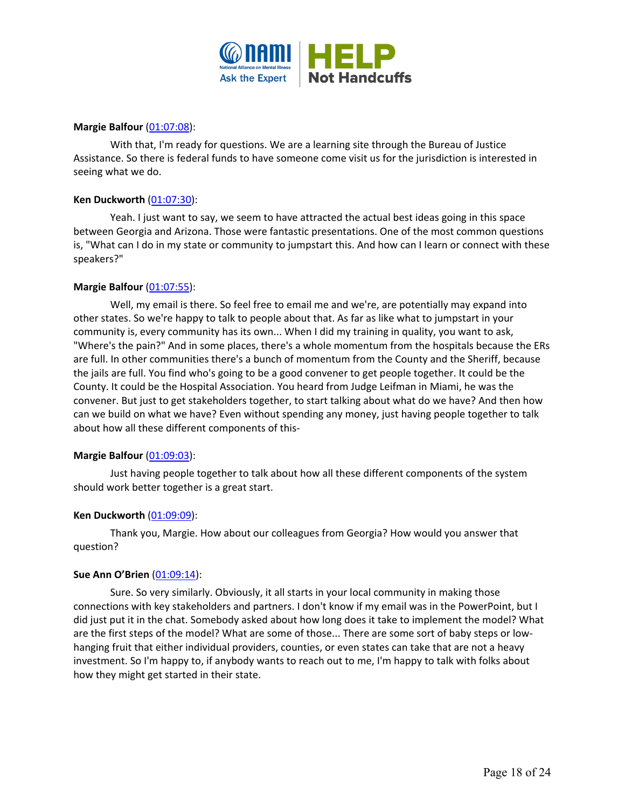

### **Margie Balfour** [\(01:07:08\)](https://www.rev.com/transcript-editor/Edit?token=v94SMLgZEoiqrTlbmPFU-a_p2d2_BQumOAGaL4UypLf3C4eG_g8dwyHooAInc8j6fSlZxPw30IJqxiH89ciKb2FM094&loadFrom=DocumentDeeplink&ts=4028.78):

With that, I'm ready for questions. We are a learning site through the Bureau of Justice Assistance. So there is federal funds to have someone come visit us for the jurisdiction is interested in seeing what we do.

# **Ken Duckworth** [\(01:07:30\)](https://www.rev.com/transcript-editor/Edit?token=QxAWkRkCkbE4nE2jXpo10n-aomAJ7aSzaUyL8I5S71LZdjp-_6dkyku9Gk5UtrT7RSBO5R8kRQFWC_ERzSR73d-OQ3w&loadFrom=DocumentDeeplink&ts=4050.03):

Yeah. I just want to say, we seem to have attracted the actual best ideas going in this space between Georgia and Arizona. Those were fantastic presentations. One of the most common questions is, "What can I do in my state or community to jumpstart this. And how can I learn or connect with these speakers?"

# **Margie Balfour** [\(01:07:55\)](https://www.rev.com/transcript-editor/Edit?token=JQfhhfykaM4l1WbfERbzxCWgmRSo5bX1XETBNMs-C5mLIaFCxUjtPaPFzmskDr0gCde6ngftTsWu5yljFvZT7owwyyk&loadFrom=DocumentDeeplink&ts=4075.52):

Well, my email is there. So feel free to email me and we're, are potentially may expand into other states. So we're happy to talk to people about that. As far as like what to jumpstart in your community is, every community has its own... When I did my training in quality, you want to ask, "Where's the pain?" And in some places, there's a whole momentum from the hospitals because the ERs are full. In other communities there's a bunch of momentum from the County and the Sheriff, because the jails are full. You find who's going to be a good convener to get people together. It could be the County. It could be the Hospital Association. You heard from Judge Leifman in Miami, he was the convener. But just to get stakeholders together, to start talking about what do we have? And then how can we build on what we have? Even without spending any money, just having people together to talk about how all these different components of this-

#### **Margie Balfour** [\(01:09:03\)](https://www.rev.com/transcript-editor/Edit?token=FB3dBaQ1XihOiyQ3lKj2fapai193B-37uZIc0o0m-vxrdEgRU89H86ZBPvxh-w1FFW-9cVnUBkynTm8MPZn9U3y3q-g&loadFrom=DocumentDeeplink&ts=4143.8):

Just having people together to talk about how all these different components of the system should work better together is a great start.

#### **Ken Duckworth** [\(01:09:09\)](https://www.rev.com/transcript-editor/Edit?token=pfd1mVg2dtF90Z2CT_y0VSFQQmJxS1VIfAJ-Z0L_KwbfbtOEOXmR2bIdpBv_jZpskRNYU8R0KRvyeTmtb8gEzvncVzc&loadFrom=DocumentDeeplink&ts=4149.17):

Thank you, Margie. How about our colleagues from Georgia? How would you answer that question?

#### **Sue Ann O'Brien** [\(01:09:14\)](https://www.rev.com/transcript-editor/Edit?token=60qSwNmHuo_AVpU-ebFjBG7HZLQJLld444PN-1yncyB99-HUcSHvcOnl3Vsfdr1a9Sg3h8tYAhnak_lulVwfmxdgGTY&loadFrom=DocumentDeeplink&ts=4154.03):

Sure. So very similarly. Obviously, it all starts in your local community in making those connections with key stakeholders and partners. I don't know if my email was in the PowerPoint, but I did just put it in the chat. Somebody asked about how long does it take to implement the model? What are the first steps of the model? What are some of those... There are some sort of baby steps or lowhanging fruit that either individual providers, counties, or even states can take that are not a heavy investment. So I'm happy to, if anybody wants to reach out to me, I'm happy to talk with folks about how they might get started in their state.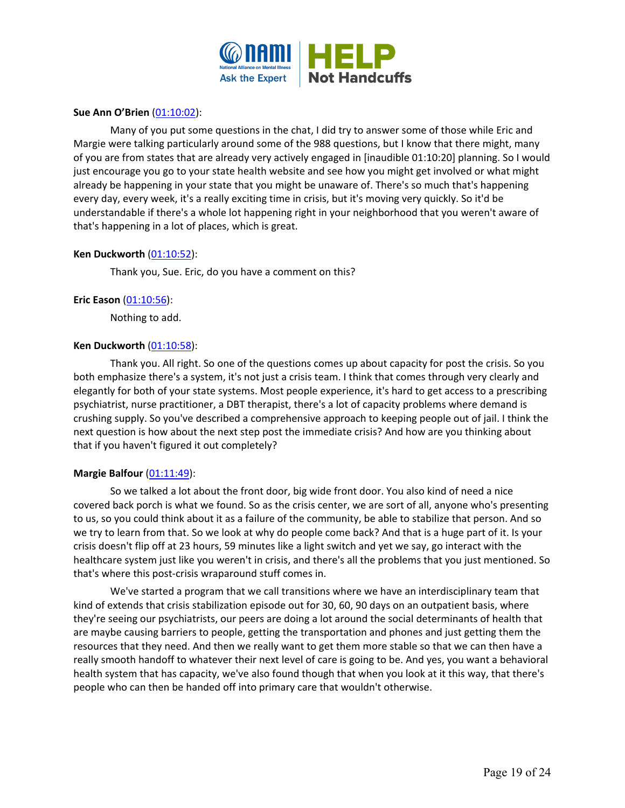

# **Sue Ann O'Brien** [\(01:10:02\)](https://www.rev.com/transcript-editor/Edit?token=_OIaRyyPWcVq8Lx6UcmPsxssL6dbwPDBg_hHi89nsdF1Q4HqokraIOB0x24OeRVrwFuj81qJOQnZmYIBWZqqPx7GDYk&loadFrom=DocumentDeeplink&ts=4202.82):

Many of you put some questions in the chat, I did try to answer some of those while Eric and Margie were talking particularly around some of the 988 questions, but I know that there might, many of you are from states that are already very actively engaged in [inaudible 01:10:20] planning. So I would just encourage you go to your state health website and see how you might get involved or what might already be happening in your state that you might be unaware of. There's so much that's happening every day, every week, it's a really exciting time in crisis, but it's moving very quickly. So it'd be understandable if there's a whole lot happening right in your neighborhood that you weren't aware of that's happening in a lot of places, which is great.

# **Ken Duckworth** [\(01:10:52\)](https://www.rev.com/transcript-editor/Edit?token=lE-cIT0r9qVN7Dwr8dlSu2gPjZlgDPmfzx-X1KG6pCq2E0KTK3cb6rIrZFqGH59Atyz2P3_s4dxfzsvmiiWcrGCBoNU&loadFrom=DocumentDeeplink&ts=4252.44):

Thank you, Sue. Eric, do you have a comment on this?

# **Eric Eason** [\(01:10:56\)](https://www.rev.com/transcript-editor/Edit?token=M9_yapBeO8s7D7x7AxI0kDyC8WdhwKFc0QE_THCoST1jwWNY9V5i5cKicC8yrb49mCYi51e6ektJN-1M6Owd39qFvA0&loadFrom=DocumentDeeplink&ts=4256.53):

Nothing to add.

# **Ken Duckworth** [\(01:10:58\)](https://www.rev.com/transcript-editor/Edit?token=d_nt2X1Kva-_02LKSu0AivoA9xQ01WgCnrH-HVHmfd4oKFX6C9_vfMiEOOkUVE-gPmQ4DuA9FX8kp6YCcBU8YzR1uqs&loadFrom=DocumentDeeplink&ts=4258.06):

Thank you. All right. So one of the questions comes up about capacity for post the crisis. So you both emphasize there's a system, it's not just a crisis team. I think that comes through very clearly and elegantly for both of your state systems. Most people experience, it's hard to get access to a prescribing psychiatrist, nurse practitioner, a DBT therapist, there's a lot of capacity problems where demand is crushing supply. So you've described a comprehensive approach to keeping people out of jail. I think the next question is how about the next step post the immediate crisis? And how are you thinking about that if you haven't figured it out completely?

#### **Margie Balfour** [\(01:11:49\)](https://www.rev.com/transcript-editor/Edit?token=JlE-QVg42tKxhQIM0kRBDpTu4LfkBjk1yDnTzm4UOohld2hFRaZfRvkie36mcx2TGSdPX9GpyGb6yHNo84gUtGtTIyo&loadFrom=DocumentDeeplink&ts=4309.17):

So we talked a lot about the front door, big wide front door. You also kind of need a nice covered back porch is what we found. So as the crisis center, we are sort of all, anyone who's presenting to us, so you could think about it as a failure of the community, be able to stabilize that person. And so we try to learn from that. So we look at why do people come back? And that is a huge part of it. Is your crisis doesn't flip off at 23 hours, 59 minutes like a light switch and yet we say, go interact with the healthcare system just like you weren't in crisis, and there's all the problems that you just mentioned. So that's where this post-crisis wraparound stuff comes in.

We've started a program that we call transitions where we have an interdisciplinary team that kind of extends that crisis stabilization episode out for 30, 60, 90 days on an outpatient basis, where they're seeing our psychiatrists, our peers are doing a lot around the social determinants of health that are maybe causing barriers to people, getting the transportation and phones and just getting them the resources that they need. And then we really want to get them more stable so that we can then have a really smooth handoff to whatever their next level of care is going to be. And yes, you want a behavioral health system that has capacity, we've also found though that when you look at it this way, that there's people who can then be handed off into primary care that wouldn't otherwise.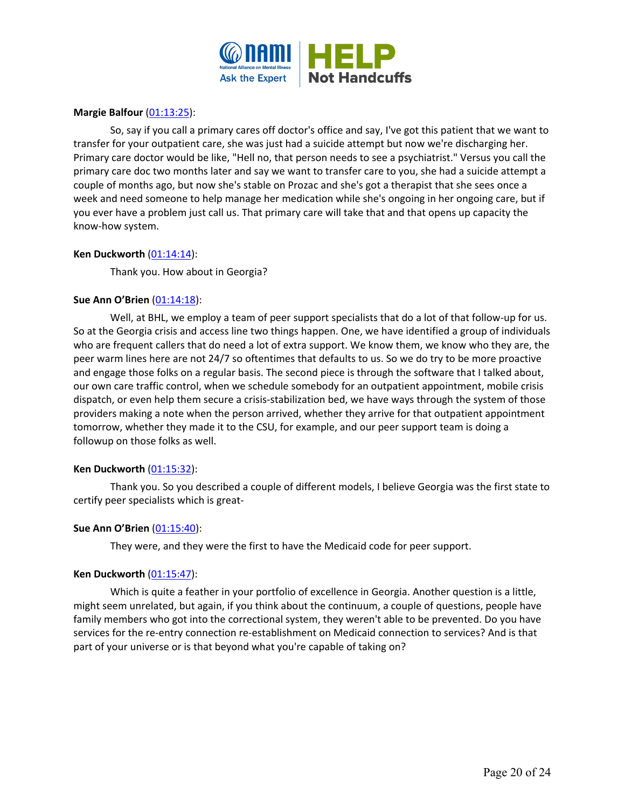

### **Margie Balfour** [\(01:13:25\)](https://www.rev.com/transcript-editor/Edit?token=TACUipXC-KP7rfW9_JI2wJBSju57yVe2P05_0lHCBqEpd254Avjxj1xiLu0TVQppTVGZS3PJSUahg8iUxOklk7w5HJk&loadFrom=DocumentDeeplink&ts=4405.16):

So, say if you call a primary cares off doctor's office and say, I've got this patient that we want to transfer for your outpatient care, she was just had a suicide attempt but now we're discharging her. Primary care doctor would be like, "Hell no, that person needs to see a psychiatrist." Versus you call the primary care doc two months later and say we want to transfer care to you, she had a suicide attempt a couple of months ago, but now she's stable on Prozac and she's got a therapist that she sees once a week and need someone to help manage her medication while she's ongoing in her ongoing care, but if you ever have a problem just call us. That primary care will take that and that opens up capacity the know-how system.

# **Ken Duckworth** [\(01:14:14\)](https://www.rev.com/transcript-editor/Edit?token=wtAX9ZebxuxsCRDnSMil9ZXhpax3B6WFx1gcpXGY0M-t6aNnsQ22haSjmlNs66qUEIIPf-bCFrR6NLGRzHsgKCBDv1I&loadFrom=DocumentDeeplink&ts=4454.72):

Thank you. How about in Georgia?

# **Sue Ann O'Brien** [\(01:14:18\)](https://www.rev.com/transcript-editor/Edit?token=UmKKXJ2rbOWv4wEU6THy_iozZjJ-2Ev6F6Hrv9PTsTVjOAStzEyb6F6l01aBayrC-ucZCbEIGcUjP8cEzazDYtkjijE&loadFrom=DocumentDeeplink&ts=4458.35):

Well, at BHL, we employ a team of peer support specialists that do a lot of that follow-up for us. So at the Georgia crisis and access line two things happen. One, we have identified a group of individuals who are frequent callers that do need a lot of extra support. We know them, we know who they are, the peer warm lines here are not 24/7 so oftentimes that defaults to us. So we do try to be more proactive and engage those folks on a regular basis. The second piece is through the software that I talked about, our own care traffic control, when we schedule somebody for an outpatient appointment, mobile crisis dispatch, or even help them secure a crisis-stabilization bed, we have ways through the system of those providers making a note when the person arrived, whether they arrive for that outpatient appointment tomorrow, whether they made it to the CSU, for example, and our peer support team is doing a followup on those folks as well.

#### **Ken Duckworth** [\(01:15:32\)](https://www.rev.com/transcript-editor/Edit?token=BUdk_PWYN3c2jCWFGhoJvliHC-AeKYCRIcon10p0MU4GI1zXPIQg9H6SbeDkx5ihpxw9qJyN_jspqgj-4gB2qJwp0qo&loadFrom=DocumentDeeplink&ts=4532.62):

Thank you. So you described a couple of different models, I believe Georgia was the first state to certify peer specialists which is great-

#### **Sue Ann O'Brien** [\(01:15:40\)](https://www.rev.com/transcript-editor/Edit?token=NILzl4bVyD3c-eg1W6ITc1UXl8ct0Qo95YtIb2Q1ruSb0QqbRALo8WU9fZbW99yRtq3Xkz5LE6g81M2FOBYhz2sa418&loadFrom=DocumentDeeplink&ts=4540.5):

They were, and they were the first to have the Medicaid code for peer support.

#### **Ken Duckworth** [\(01:15:47\)](https://www.rev.com/transcript-editor/Edit?token=dlLoZRfXm98V3TSKJm2ZGbl-2XyVLLphuXjDk7ljqtUKoeVVgDJrBgkI3Uxw4Q7WGj-Szt1gZhqmypSVE8eigtYdNIE&loadFrom=DocumentDeeplink&ts=4547):

Which is quite a feather in your portfolio of excellence in Georgia. Another question is a little, might seem unrelated, but again, if you think about the continuum, a couple of questions, people have family members who got into the correctional system, they weren't able to be prevented. Do you have services for the re-entry connection re-establishment on Medicaid connection to services? And is that part of your universe or is that beyond what you're capable of taking on?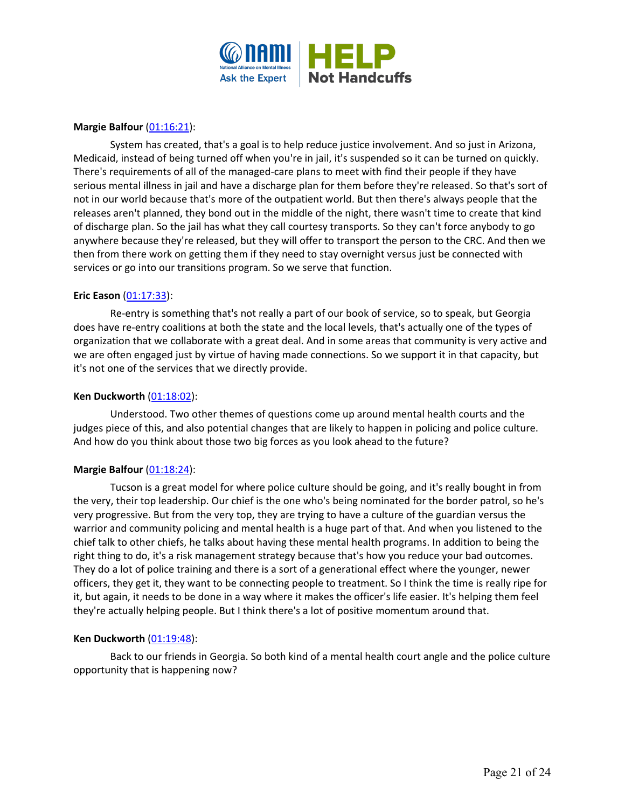

# **Margie Balfour** [\(01:16:21\)](https://www.rev.com/transcript-editor/Edit?token=N2kXhpdCTimULZK3_XTtJM4yXhC50g87MzcGk9A6_Ba1I2BMv9CsDnnU-JDN0EWUd0CJroEuGPNiPUrwzelPwVVS8Zg&loadFrom=DocumentDeeplink&ts=4581.09):

System has created, that's a goal is to help reduce justice involvement. And so just in Arizona, Medicaid, instead of being turned off when you're in jail, it's suspended so it can be turned on quickly. There's requirements of all of the managed-care plans to meet with find their people if they have serious mental illness in jail and have a discharge plan for them before they're released. So that's sort of not in our world because that's more of the outpatient world. But then there's always people that the releases aren't planned, they bond out in the middle of the night, there wasn't time to create that kind of discharge plan. So the jail has what they call courtesy transports. So they can't force anybody to go anywhere because they're released, but they will offer to transport the person to the CRC. And then we then from there work on getting them if they need to stay overnight versus just be connected with services or go into our transitions program. So we serve that function.

#### **Eric Eason** [\(01:17:33\)](https://www.rev.com/transcript-editor/Edit?token=OAlwkBzMGbBTOHAkp4_vU5QEbmNQVIG-gQbhJQ6AdWHPR7XimWXYs7p1wiTWaZgoBHDHDJtBSF4pd4dXUxGDpawuieY&loadFrom=DocumentDeeplink&ts=4653.41):

Re-entry is something that's not really a part of our book of service, so to speak, but Georgia does have re-entry coalitions at both the state and the local levels, that's actually one of the types of organization that we collaborate with a great deal. And in some areas that community is very active and we are often engaged just by virtue of having made connections. So we support it in that capacity, but it's not one of the services that we directly provide.

#### **Ken Duckworth** [\(01:18:02\)](https://www.rev.com/transcript-editor/Edit?token=3vbLrDKevs3HejLCVwYsn5ryzq3tXV-4AuKTDTTv_qdQKtg9syWWOFEbplzAc3fFUYFj6R68u1uRevnOp6oXPoVLaaY&loadFrom=DocumentDeeplink&ts=4682.36):

Understood. Two other themes of questions come up around mental health courts and the judges piece of this, and also potential changes that are likely to happen in policing and police culture. And how do you think about those two big forces as you look ahead to the future?

#### **Margie Balfour** [\(01:18:24\)](https://www.rev.com/transcript-editor/Edit?token=edYODpYIo_9ThaM8mA6BznxHFOH2O6omIV_loxBPXci1mlSb6EZ0HzOreaaJt9B5YFaaRxiT3MSV8Syw21zsAuLqF6A&loadFrom=DocumentDeeplink&ts=4704.96):

Tucson is a great model for where police culture should be going, and it's really bought in from the very, their top leadership. Our chief is the one who's being nominated for the border patrol, so he's very progressive. But from the very top, they are trying to have a culture of the guardian versus the warrior and community policing and mental health is a huge part of that. And when you listened to the chief talk to other chiefs, he talks about having these mental health programs. In addition to being the right thing to do, it's a risk management strategy because that's how you reduce your bad outcomes. They do a lot of police training and there is a sort of a generational effect where the younger, newer officers, they get it, they want to be connecting people to treatment. So I think the time is really ripe for it, but again, it needs to be done in a way where it makes the officer's life easier. It's helping them feel they're actually helping people. But I think there's a lot of positive momentum around that.

#### **Ken Duckworth** [\(01:19:48\)](https://www.rev.com/transcript-editor/Edit?token=gBTHiQb5oEQFFhoBS83wJ5KT-zCA9ZZyaKWuoX4d7vTaI0mqKZQM3-xVeYSemZKeuu11lS7BSZy2qxpvHR9eKhz05RE&loadFrom=DocumentDeeplink&ts=4788.67):

Back to our friends in Georgia. So both kind of a mental health court angle and the police culture opportunity that is happening now?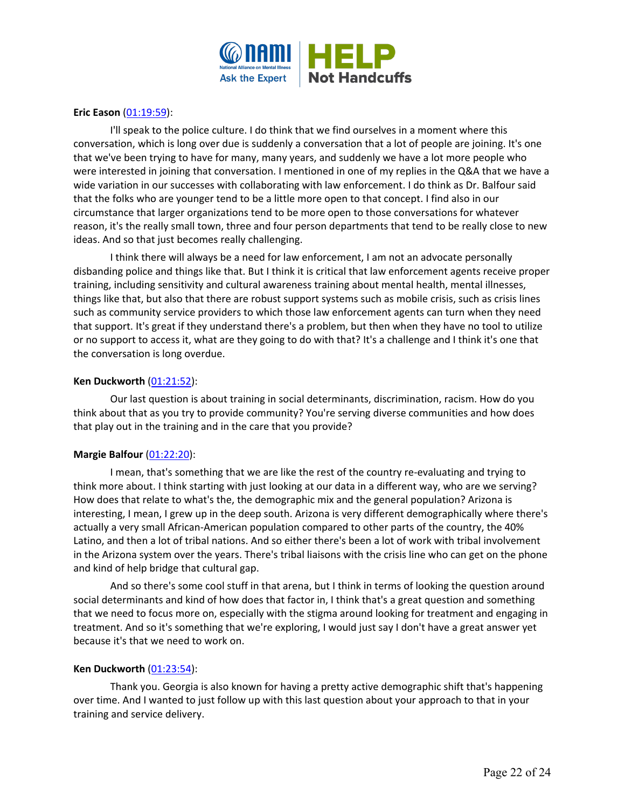

# **Eric Eason** [\(01:19:59\)](https://www.rev.com/transcript-editor/Edit?token=AI72WSUTlOqGqgnJxJR5OmlW6aEcaOKdB4BtnfeT786Dx6B3mYbYMqyOSlJyOepu0Fo1Mp2AauMgu0c-XOhxURy9URk&loadFrom=DocumentDeeplink&ts=4799.98):

I'll speak to the police culture. I do think that we find ourselves in a moment where this conversation, which is long over due is suddenly a conversation that a lot of people are joining. It's one that we've been trying to have for many, many years, and suddenly we have a lot more people who were interested in joining that conversation. I mentioned in one of my replies in the Q&A that we have a wide variation in our successes with collaborating with law enforcement. I do think as Dr. Balfour said that the folks who are younger tend to be a little more open to that concept. I find also in our circumstance that larger organizations tend to be more open to those conversations for whatever reason, it's the really small town, three and four person departments that tend to be really close to new ideas. And so that just becomes really challenging.

I think there will always be a need for law enforcement, I am not an advocate personally disbanding police and things like that. But I think it is critical that law enforcement agents receive proper training, including sensitivity and cultural awareness training about mental health, mental illnesses, things like that, but also that there are robust support systems such as mobile crisis, such as crisis lines such as community service providers to which those law enforcement agents can turn when they need that support. It's great if they understand there's a problem, but then when they have no tool to utilize or no support to access it, what are they going to do with that? It's a challenge and I think it's one that the conversation is long overdue.

# **Ken Duckworth** [\(01:21:52\)](https://www.rev.com/transcript-editor/Edit?token=g3-I0WQvgH3dXQed0T_pNA3WDKUJGKYobxERfvmyvVHapDdZsSvN91UPefi_nIMhiwrQHRikq5OXH3BbnWhmrb8h4oE&loadFrom=DocumentDeeplink&ts=4912.85):

Our last question is about training in social determinants, discrimination, racism. How do you think about that as you try to provide community? You're serving diverse communities and how does that play out in the training and in the care that you provide?

# **Margie Balfour [\(01:22:20\)](https://www.rev.com/transcript-editor/Edit?token=Zh2vi6jJCdN9sQRo_G8xa7pWZX0SKpSfDK-vM9Nave-hyVd8CGzDk6GWQ8oUq3BIXePCItQGmQHwfTBxyBPYbwORHgA&loadFrom=DocumentDeeplink&ts=4940.47):**

I mean, that's something that we are like the rest of the country re-evaluating and trying to think more about. I think starting with just looking at our data in a different way, who are we serving? How does that relate to what's the, the demographic mix and the general population? Arizona is interesting, I mean, I grew up in the deep south. Arizona is very different demographically where there's actually a very small African-American population compared to other parts of the country, the 40% Latino, and then a lot of tribal nations. And so either there's been a lot of work with tribal involvement in the Arizona system over the years. There's tribal liaisons with the crisis line who can get on the phone and kind of help bridge that cultural gap.

And so there's some cool stuff in that arena, but I think in terms of looking the question around social determinants and kind of how does that factor in, I think that's a great question and something that we need to focus more on, especially with the stigma around looking for treatment and engaging in treatment. And so it's something that we're exploring, I would just say I don't have a great answer yet because it's that we need to work on.

#### **Ken Duckworth** [\(01:23:54\)](https://www.rev.com/transcript-editor/Edit?token=-NnTlgmMtgIqi_pyUiBgoiYw9dajlosjAbmGWa-XJikNSYWs-P8RHgoy8rgZnYzXGl3gznTQKS3TWQMvJOCjDfL3-68&loadFrom=DocumentDeeplink&ts=5034.35):

Thank you. Georgia is also known for having a pretty active demographic shift that's happening over time. And I wanted to just follow up with this last question about your approach to that in your training and service delivery.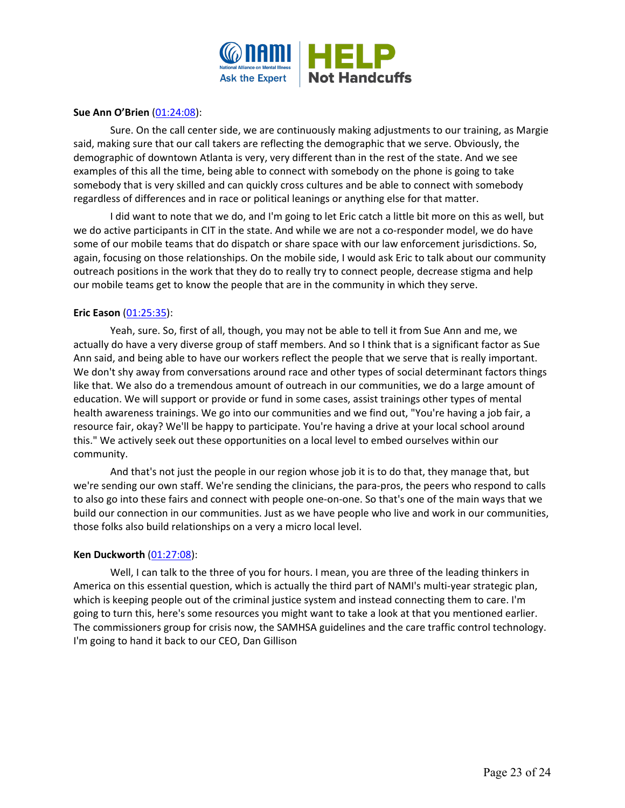

# **Sue Ann O'Brien** [\(01:24:08\)](https://www.rev.com/transcript-editor/Edit?token=M8hFOgYZEq6C3bBTXnjyadvPlCuD5OHUcdm0jHCsRa96YN2lTvKjsyDv3n5CNtRp2ZE9lzVc9y51LBG4aqhFPynNo4I&loadFrom=DocumentDeeplink&ts=5048.59):

Sure. On the call center side, we are continuously making adjustments to our training, as Margie said, making sure that our call takers are reflecting the demographic that we serve. Obviously, the demographic of downtown Atlanta is very, very different than in the rest of the state. And we see examples of this all the time, being able to connect with somebody on the phone is going to take somebody that is very skilled and can quickly cross cultures and be able to connect with somebody regardless of differences and in race or political leanings or anything else for that matter.

I did want to note that we do, and I'm going to let Eric catch a little bit more on this as well, but we do active participants in CIT in the state. And while we are not a co-responder model, we do have some of our mobile teams that do dispatch or share space with our law enforcement jurisdictions. So, again, focusing on those relationships. On the mobile side, I would ask Eric to talk about our community outreach positions in the work that they do to really try to connect people, decrease stigma and help our mobile teams get to know the people that are in the community in which they serve.

# **Eric Eason** [\(01:25:35\)](https://www.rev.com/transcript-editor/Edit?token=FQv1Ncll_uCn72LHLa083cXMGaHJWJO90V19lsTtn4lsmNVzx1x6-tazKK70pY3ThUgyRGvxjVdIXV9saqRQkxALvVg&loadFrom=DocumentDeeplink&ts=5135.59):

Yeah, sure. So, first of all, though, you may not be able to tell it from Sue Ann and me, we actually do have a very diverse group of staff members. And so I think that is a significant factor as Sue Ann said, and being able to have our workers reflect the people that we serve that is really important. We don't shy away from conversations around race and other types of social determinant factors things like that. We also do a tremendous amount of outreach in our communities, we do a large amount of education. We will support or provide or fund in some cases, assist trainings other types of mental health awareness trainings. We go into our communities and we find out, "You're having a job fair, a resource fair, okay? We'll be happy to participate. You're having a drive at your local school around this." We actively seek out these opportunities on a local level to embed ourselves within our community.

And that's not just the people in our region whose job it is to do that, they manage that, but we're sending our own staff. We're sending the clinicians, the para-pros, the peers who respond to calls to also go into these fairs and connect with people one-on-one. So that's one of the main ways that we build our connection in our communities. Just as we have people who live and work in our communities, those folks also build relationships on a very a micro local level.

#### **Ken Duckworth** [\(01:27:08\)](https://www.rev.com/transcript-editor/Edit?token=9YjJ-1jCm3FLSjlF5hxsKNohWBt2TUmpbUk8WkmnjcwONwTYuhhssl_o-umqLXh2lUkP95oTG9slumntoHXttEFftT0&loadFrom=DocumentDeeplink&ts=5228.13):

Well, I can talk to the three of you for hours. I mean, you are three of the leading thinkers in America on this essential question, which is actually the third part of NAMI's multi-year strategic plan, which is keeping people out of the criminal justice system and instead connecting them to care. I'm going to turn this, here's some resources you might want to take a look at that you mentioned earlier. The commissioners group for crisis now, the SAMHSA guidelines and the care traffic control technology. I'm going to hand it back to our CEO, Dan Gillison